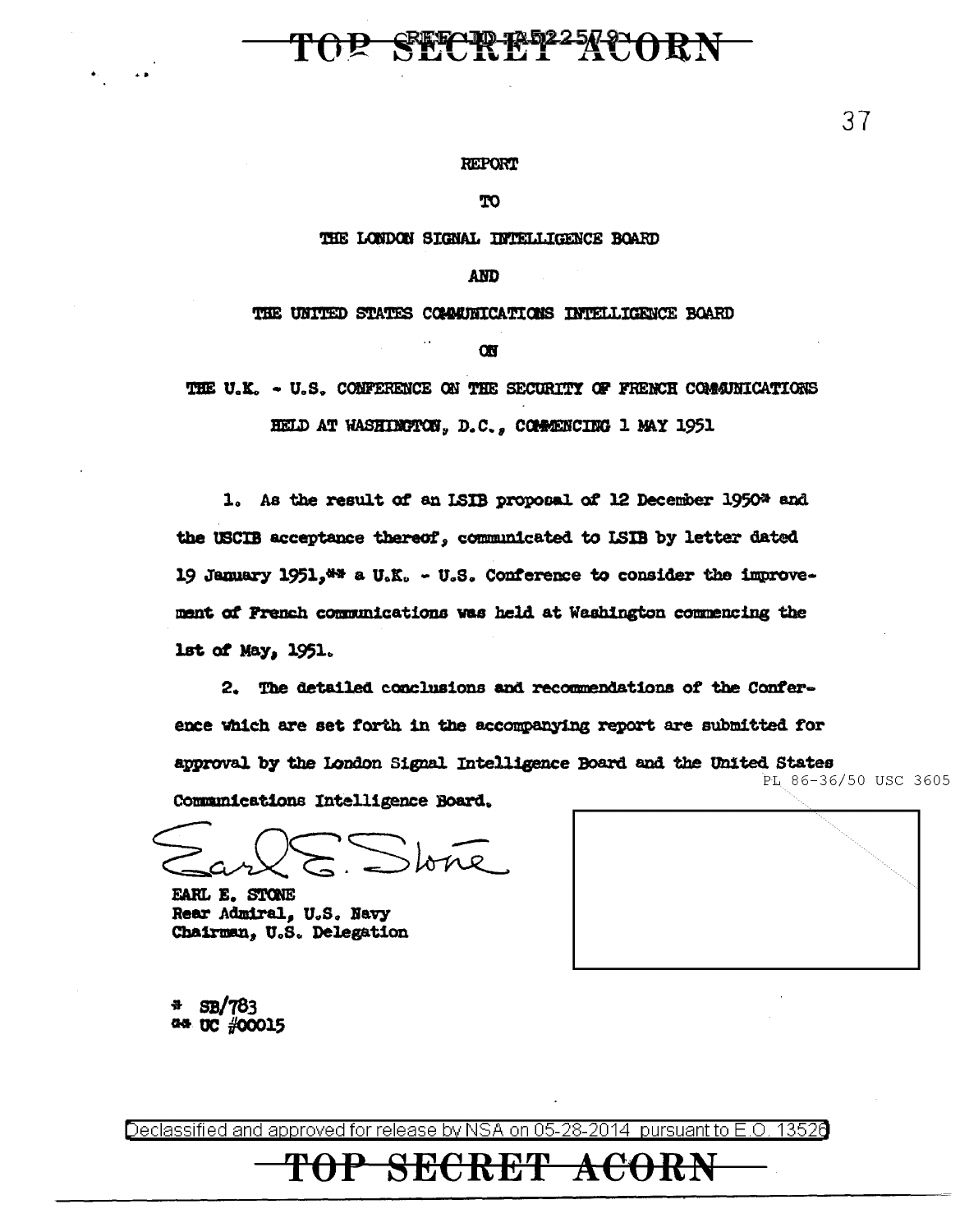### P SECREP<sup>22</sup>ACOR

#### **REPORT**

**TO** 

#### THE LONDON SIGNAL INTELLIGENCE BOARD

#### **AND**

THE UNITED STATES COMMUNICATIONS INTELLIGENCE BOARD

**ON** 

THE U.K. - U.S. CONFERENCE ON THE SECURITY OF FRENCH COMMUNICATIONS

HELD AT WASHIMCTON, D.C., COMMENCING 1 MAY 1951

1. As the result of an ISIB proposal of 12 December 1950\* and the USCIB acceptance thereof, communicated to ISIB by letter dated 19 January 1951, \*\* a U.K. - U.S. Conference to consider the improvement of French communications was held at Washington commencing the lst of May, 1951.

2. The detailed conclusions and recommendations of the Conference which are set forth in the accompanying report are submitted for approval by the London Signal Intelligence Board and the United States PL 86-36/50 USC 3605 Communications Intelligence Board.

tone

EARL E. STONE Rear Admiral, U.S. Navy Chairman, U.S. Delegation

**SB/783** 44 UC #00015

Declassified and approved for release by NSA on 05-28-2014 pursuant to E.O. 13520

SECRET

ACO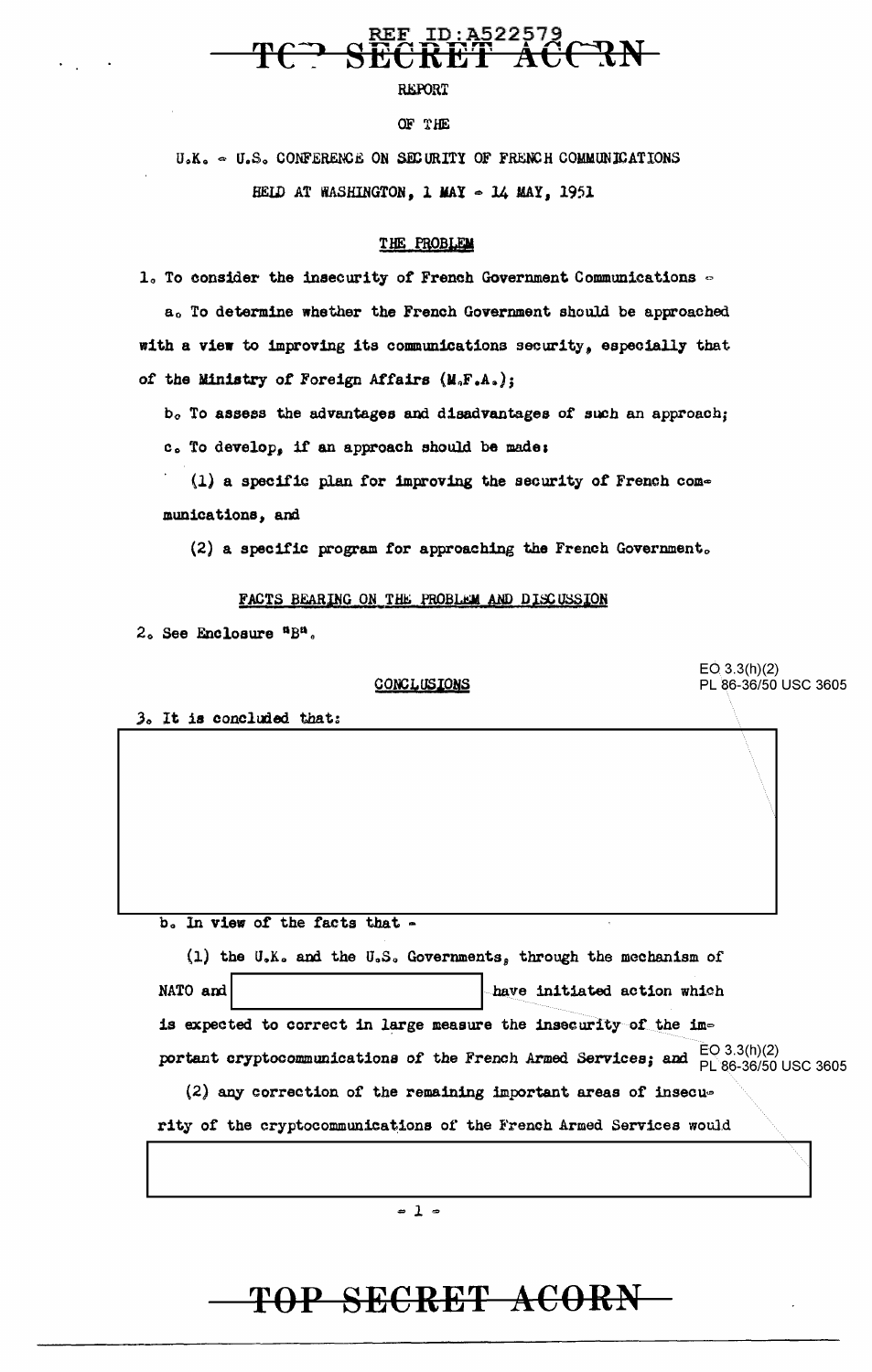## TOP SECRET ACORN

portant cryptocommunications of the French Armed Services; and  $EO(3.3(h)(2)$  Dec 3605  $(2)$  any correction of the remaining important areas of insecurity of the cryptocommunications of the French Armed Services would  $= 1 -$ 

b. In view of the facts that -(1) the U.K. and the U.S. Governments, through the mechanism of NATO and have initiated action which is expected to correct in large measure the insecurity of the im-

3. It is concluded that:

2. See Enclosure "B".

 $EQ$  3.3(h)(2) PL 86-36/50 USC 3605

(2) a specific program for approaching the French Government.

FACTS BEARING ON THE PROBLEM AND DISCUSSION

munications, and

of the Ministry of Foreign Affairs (M.F.A.);

(1) a specific plan for improving the security of French com-

b. To assess the advantages and disadvantages of such an approach; c. To develop, if an approach should be made:

THE PROBLEM 1. To consider the insecurity of French Government Communications -

HELD AT WASHINGTON, 1 MAY - 14 MAY, 1951

OF THE

U.K.  $\sim$  U.S. CONFERENCE ON SECURITY OF FRENCH COMMUNICATIONS

a. To determine whether the French Government should be approached

with a view to improving its communications security, especially that

# **REPORT**

ID:A522579

# CONCLUSIONS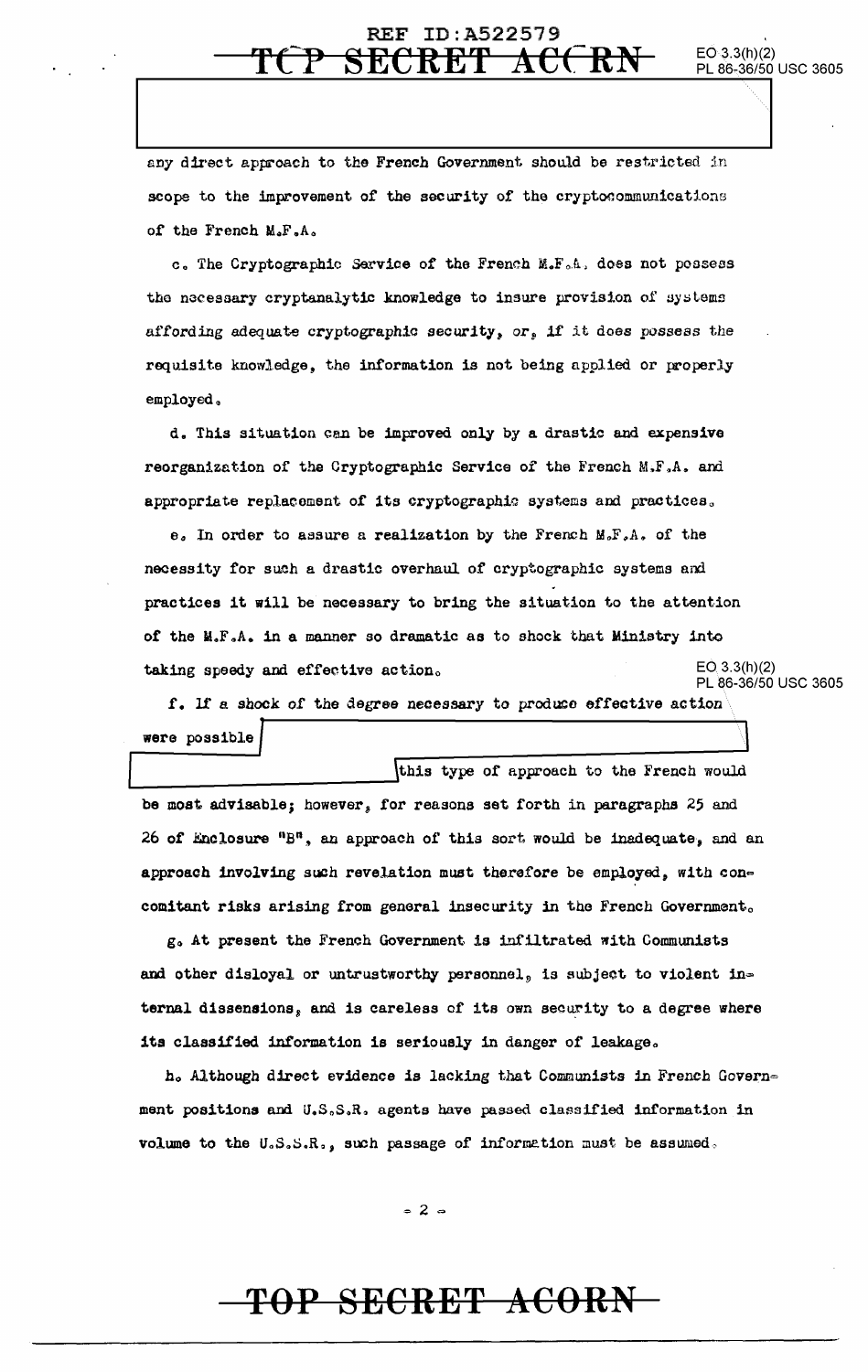#### **REF ID:A522579** SECRET

any direct approach to the French Government should be restricted in scope to the improvement of the security of the cryptocommunications of the French M.F.A.

c. The Cryptographic Sarvice of the French M.F.A. does not possess the necessary cryptanalytic knowledge to insure provision of systems affording adequate cryptographic security, or, if it does possess the requisite knowledge, the information is not being applied or properly employed.

d. This situation can be improved only by a drastic and expensive reorganization of the Cryptographic Service of the French M.F.A. and appropriate replacement of its cryptographic systems and practices.

e. In order to assure a realization by the French M.F.A. of the necessity for such a drastic overhaul of cryptographic systems and practices it will be necessary to bring the situation to the attention of the M.F.A. in a manner so dramatic as to shock that Ministry into  $EO(3.3(h)(2)$ taking speedy and effective action.

PL 86-36/50 USC 3605

 $EO 3.3(h)(2)$ 

PL 86-36/50 USC 3605

f. If a shock of the degree necessary to produce effective action were possible

this type of approach to the French would be most advisable; however, for reasons set forth in paragraphs 25 and 26 of Enclosure "B", an approach of this sort would be inadequate, and an approach involving such revelation must therefore be employed, with concomitant risks arising from general insecurity in the French Government.

g. At present the French Government is infiltrated with Communists and other disloyal or untrustworthy personnel, is subject to violent internal dissensions, and is careless of its own security to a degree where its classified information is seriously in danger of leakage.

h. Although direct evidence is lacking that Communists in French Government positions and U.S.S.R. agents have passed classified information in volume to the U.S.S.R., such passage of information must be assumed.

 $= 2 =$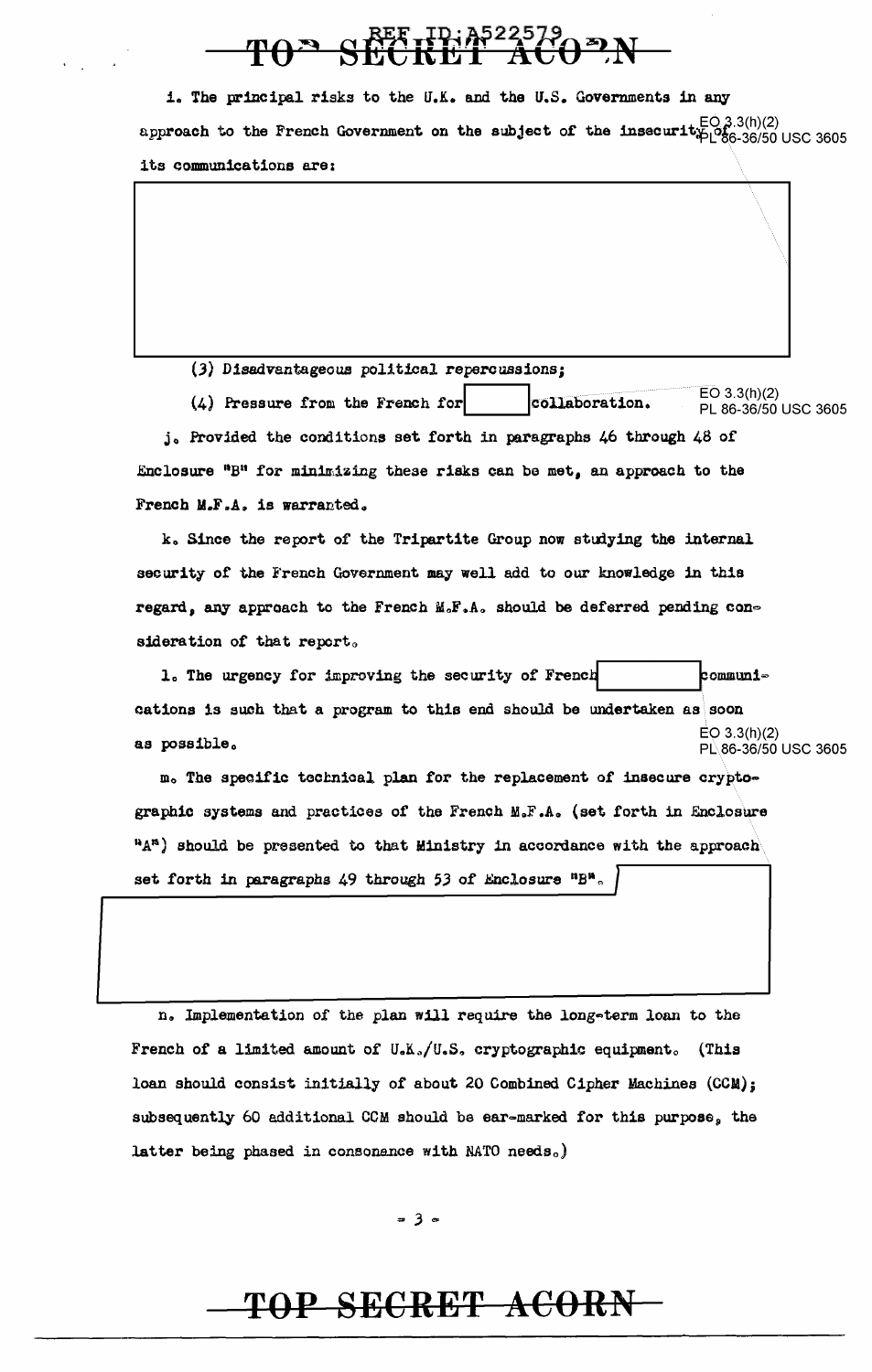i. The principal risks to the U.K. and the U.S. Governments in any approach to the French Government on the subject of the insecurit<sub>ip</sub>  $E_{0,3.3(h)(2)}^{E_{0,3.3(h)(2)}}$  usc 3605 its communications are:

 $\langle\,\,\rangle$ 

(.3) Disadvantageous political repercussions;

(4) Pressure from the French for  $\overline{\text{collaboration}}$ . EO 3.3(h)(2) PL 86-36/50 USC 3605 j. Provided the conditions set forth in paragraphs 46 through  $48$  of .Enclosure "B" for minimizing these risks can be met, an approach to the French M.F.A. is warranted.

k. Since the report of the Tripartite Group now studying the internal security of the French Government may well add to our knowledge in this regard, any approach to the French  $M_{\circ}F$ , A, should be deferred pending consideration of that report.

1. The urgency for improving the security of French  $\blacksquare$  . communi= cations is such that a program to this end should be undertaken as soon as  $\mathbf{posable.}$  examples the contract of  $\mathbf{pos}(\mathbf{2})$  becomes the contract of  $\mathbf{pos}(2)$ PL86-36/50 USC 3605

m. The specific technical plan for the replacement of insecure cryptographic systems and practices of the French M.F.A. (set forth in Enclosure  $H_A^{\mathfrak{n}}$  should be presented to that Ministry in accordance with the approach set forth in paragraphs 49 through 53 of Enclosure "B".

n. Implementation of the plan will require the long-term loan to the French of a limited amount of U.K./U.S. cryptographic equipment. (This loan should consist initially of about 20 Combined Cipher Machines  $(CCH)$ ; subsequently 60 additional CCM should be ear-marked for this purpose, the latter being phased in consonance with NATO needs.)

 $= 3 -$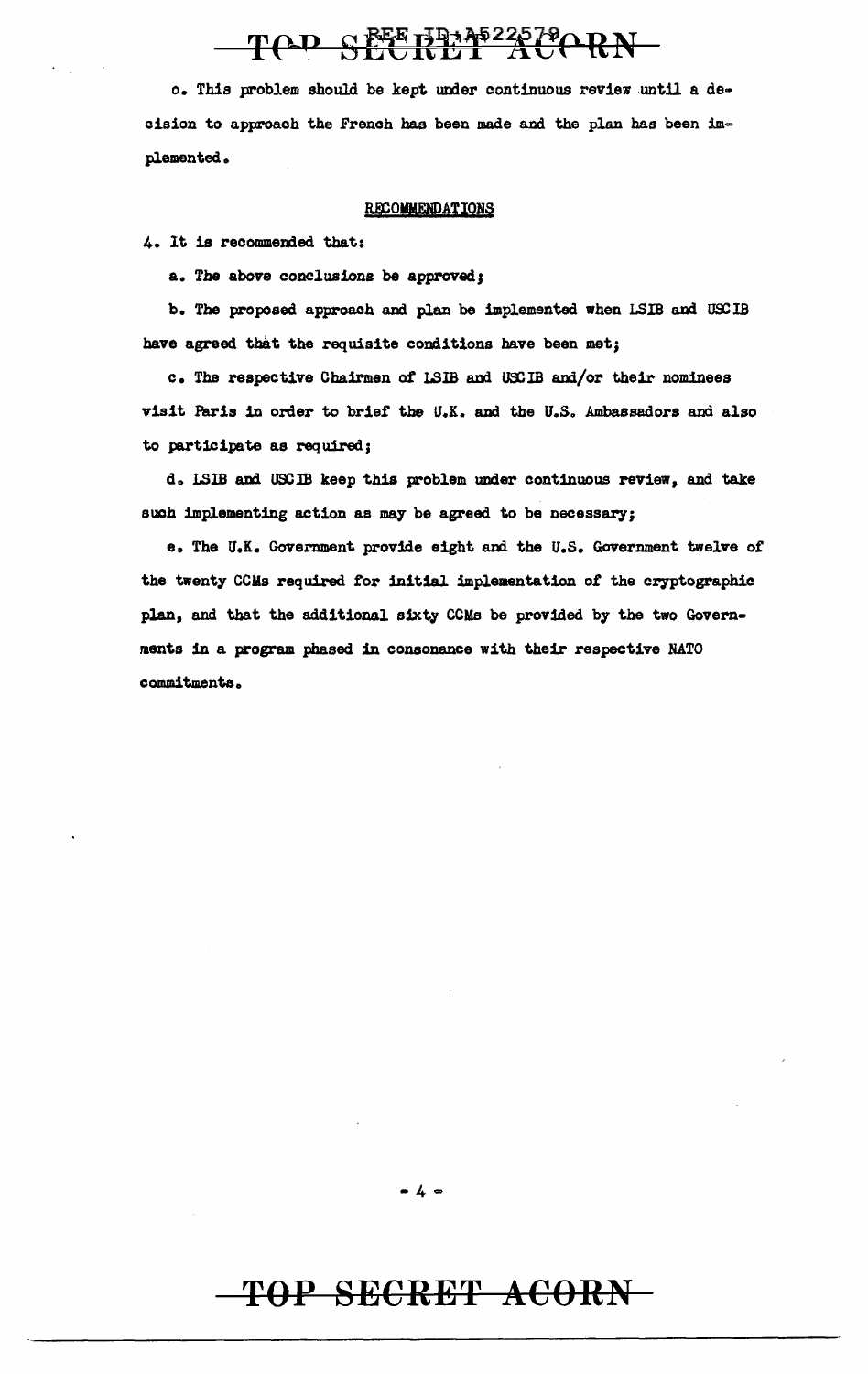# TOD SEETRAS225790RN

o. Thia problem should be kept under continuous review until a de· cision to approach the French has been made and the plan has been implemented.

#### RECOMMENDATIONS

4. lt is recommended that;

a. The above conclusions be approved;

b. The proposed approach and plan be implemented when LSIB and USCIB have agreed that the requisite conditions have been met;

c. The respective Chairmen of LSIB and USCIB and/or their nominees visit Paris in order to brief the U.K. and the U.S. Ambassadors and also to participate as required;

d. LSIB and USCIB keep this problem under continuous review, and take such implementing action as may be agreed to be necessary;

e. The U.K. Government provide eight and the U.S. Government twelve of the twenty CCMs required for initial implementation of the cryptographic plan, and that the additional sixty CCMs be provided by the two Governments 1n a program phased in consonance with their respective NATO commitments.

### $-4-$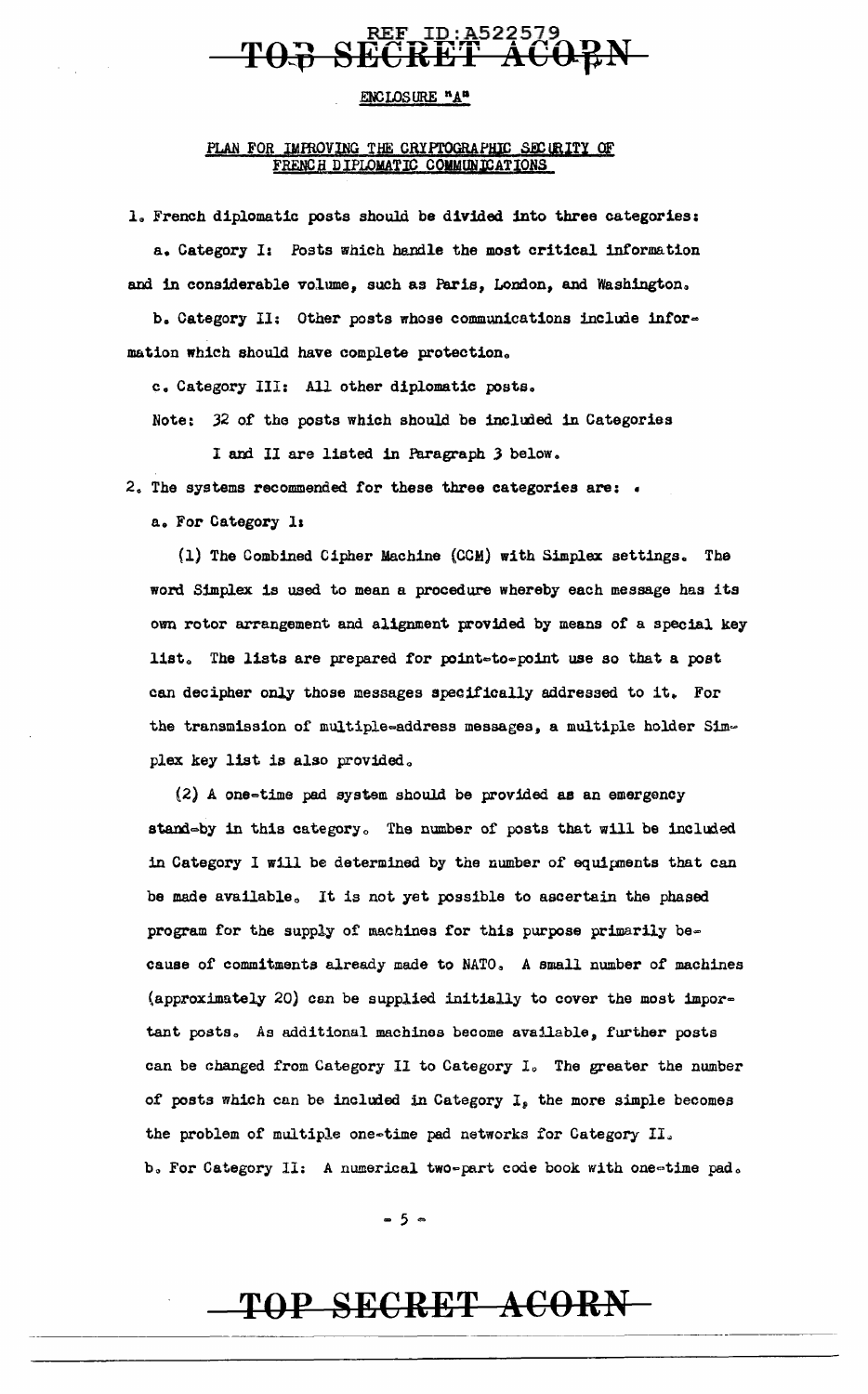### REF ID:A522579 T<del>OJ SECRET ACOPN</del>

#### ENCLOSURE "A"

#### PLAN FOR IMPROVING THE CRYPTOGRAPHIC SECURITY OF FRENCH DIPLOMATIC COMMUNICATIONS

1., French diplomatic posts should be divided into three categories: a. Category *I:* Posts which handle the most critical information and in considerable volume, such as Paris, London, and Washington.

b. Category II: Other posts whose communications include information which should have complete protection.,

c. Category III: All other diplomatic posts.

Note: 32 of the posts which should be included in Categories

I and II are listed in Paragraph 3 below.

2. The systems recommended for these three categories are:  $\cdot$ 

a. For Category 11

{l) The Combined Cipher Machine (COM) with Simplex settings. The word Simplex is used to mean a procedure whereby each message has its own rotor arrangement and alignment provided by means of a special key list. The lists are prepared for point=to=point use so that a post can decipher only those messages specifically addressed to it. For the transmission of multiple=address messages, a multiple holder Simplex key list is also provided.

 $(2)$  A one-time pad system should be provided as an emergency stand=by in this category. The number of posts that will be included in Category 1 will be determined by the number of equipnents that can be made available. It is not yet possible to ascertain the phased program for the supply of machines for this purpose primarily be= cause of commitments already made to NATO. A small number of machines (approximately 20) can be supplied initially to cover the most important posts. As additional machines become available, further posts can be changed from Category II to Category I. The greater the number of posts which can be included in Category I, the more simple becomes the problem of multiple one-time pad networks for Category II. b. For Category II: A numerical two-part code book with one-time pad.

 $-5$   $-$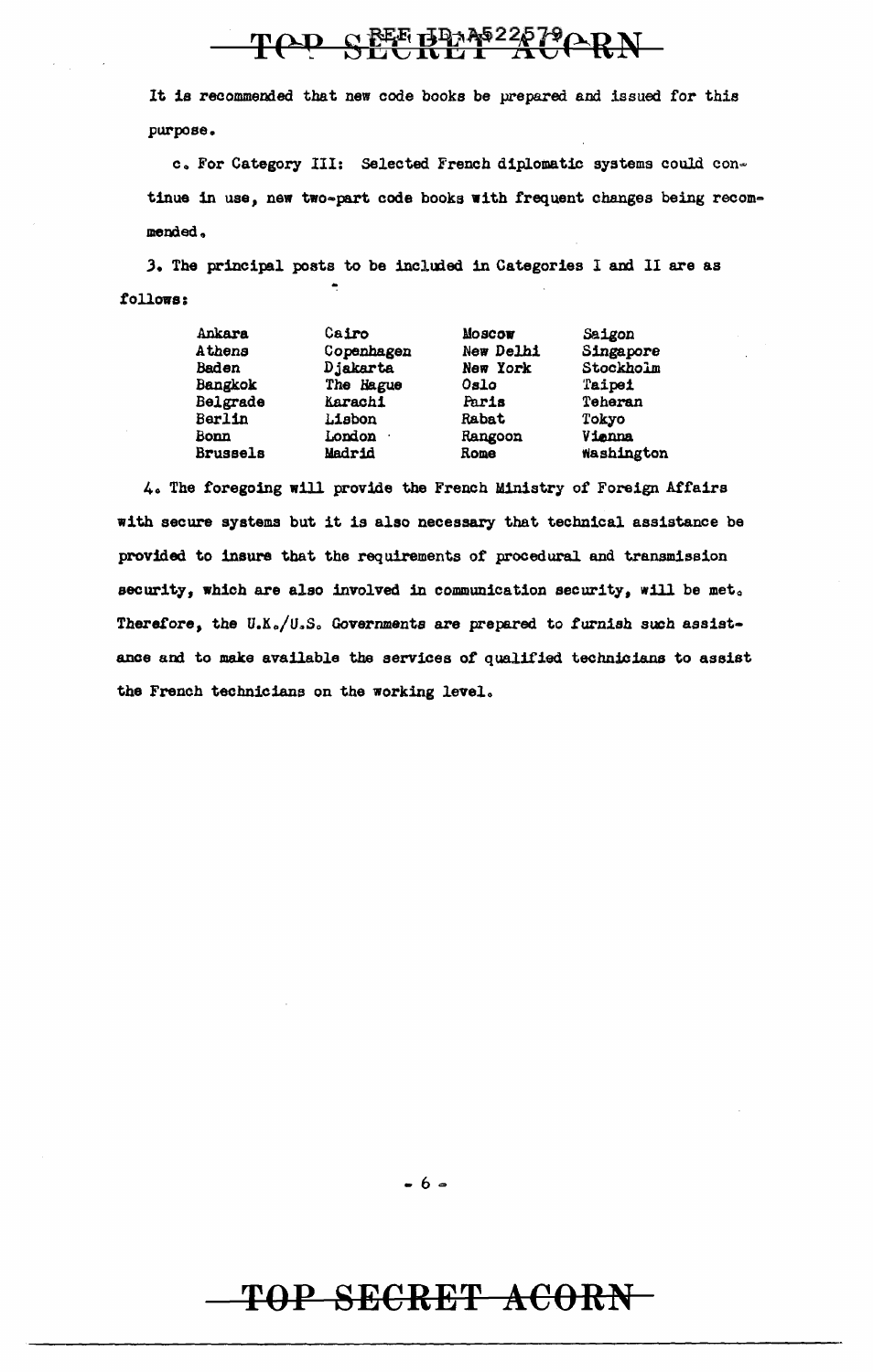# TOD SEEBEA 22579 ORN

It is recommended that new code books be prepared and issued for this purpose.

c. For Category III: Selected French diplomatic systems could continue in use, new two-part code books with frequent changes being recommended,

3. The principal posts to be included in Categories I and II are as follows:

| Ankara          | Cairo          | Moscow    | Saigon     |
|-----------------|----------------|-----------|------------|
| Athens          | Copenhagen     | New Delhi | Singapore  |
| <b>Baden</b>    | Djakarta       | New York  | Stockholm  |
| Bangkok         | The Hague      | Oslo      | Taipei     |
| Belgrade        | <b>Karachi</b> | Paris     | Teheran    |
| Berlin          | Lisbon         | Rabat     | Tokyo      |
| Bonn            | London ·       | Rangoon   | Vienna     |
| <b>Brussels</b> | Madrid         | Rome      | Washington |

4. The foregoing will provide the French Ministry of Foreign Affairs with secure systems but it is also necessary that technical assistance be provided to insure that the requirements of procedural and transmission security, which are also involved in communication security, will be met. Therefore, the U.K./U.S. Governments are prepared to furnish such assistance and to make available the services of qualified technicians to assist the French technicians on the working level.

- 6 -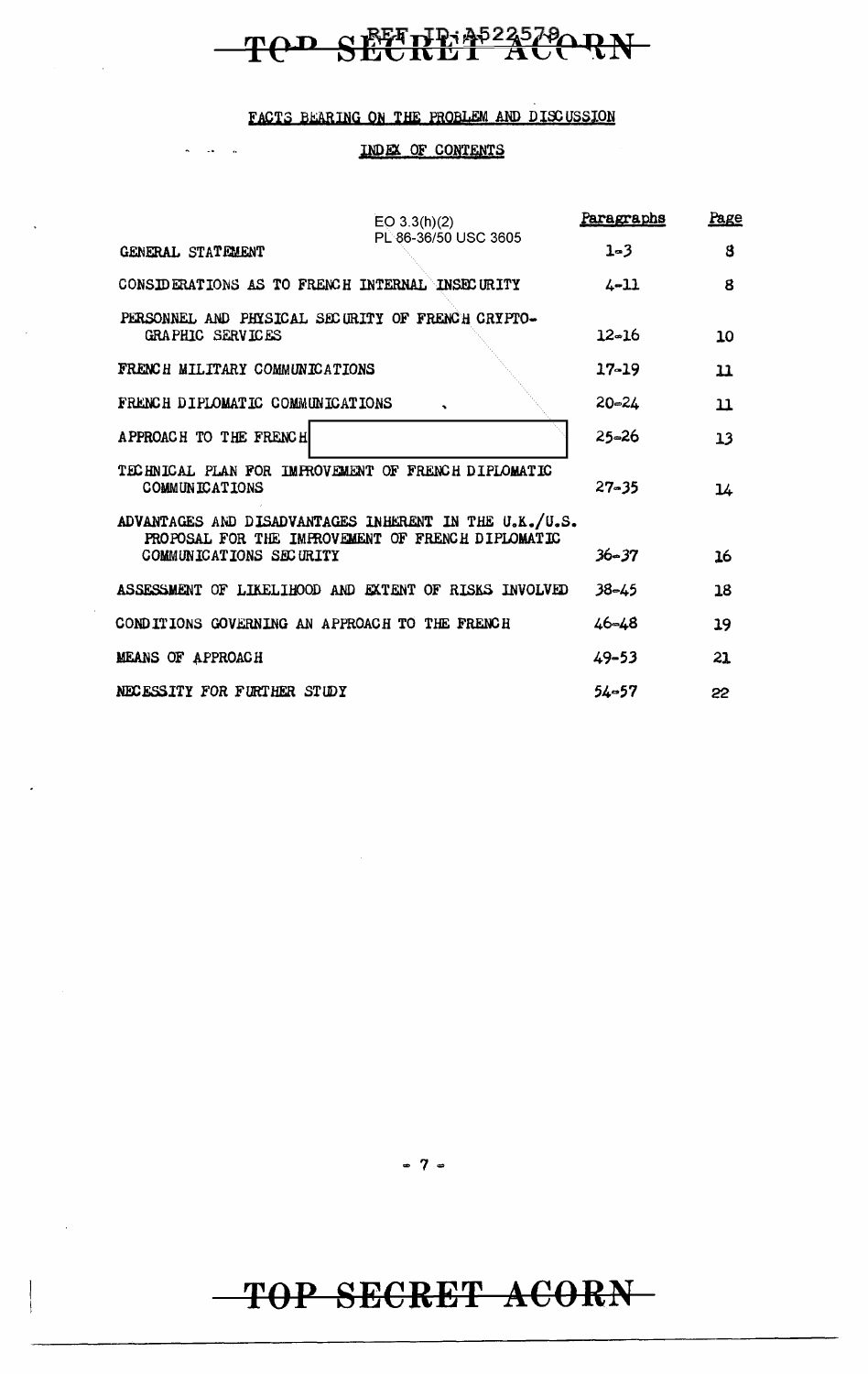# TOD SECRET ACORN

#### FACTS BEARING ON THE PROBLEM AND DISCUSSION

#### INDEX OF CONTENTS

| EO 3.3(h)(2)                                                                                                | Paragraphs | <b>Page</b> |
|-------------------------------------------------------------------------------------------------------------|------------|-------------|
| PL 86-36/50 USC 3605<br>GENERAL STATEMENT                                                                   | $1 - 3$    | 8           |
| CONSIDERATIONS AS TO FRENCH INTERNAL INSECURITY                                                             | $4 - 11$   | 8           |
| PERSONNEL AND PHYSICAL SECURITY OF FRENCH CRYPTO-<br>GRAPHIC SERVICES                                       | 12-16      | 10          |
| FRENCH MILITARY COMMUNICATIONS                                                                              | $17 - 19$  | 11          |
| FRENCH DIPLOMATIC COMMUNICATIONS                                                                            | $20 - 24$  | $\mathbf u$ |
| APPROACH TO THE FRENCH                                                                                      | 25–26      | 13          |
| TECHNICAL PLAN FOR IMPROVEMENT OF FRENCH DIPLOMATIC<br>COMMUNICATIONS                                       | $27 - 35$  | 14          |
| ADVANTAGES AND DISADVANTAGES INHERENT IN THE U.K./U.S.<br>PROPOSAL FOR THE IMPROVEMENT OF FRENCH DIPLOMATIC |            |             |
| COMMUNICATIONS SECURITY                                                                                     | $36 - 37$  | 16          |
| ASSESSMENT OF LIKELIHOOD AND EXTENT OF RISKS INVOLVED                                                       | 38–45      | 18          |
| CONDITIONS GOVERNING AN APPROACH TO THE FRENCH                                                              | $46 - 48$  | 19          |
| <b>MEANS OF APPROACH</b>                                                                                    | $49 - 53$  | 21          |
| NECESSITY FOR FURTHER STUDY                                                                                 | $54 - 57$  | 22          |

 $-7-$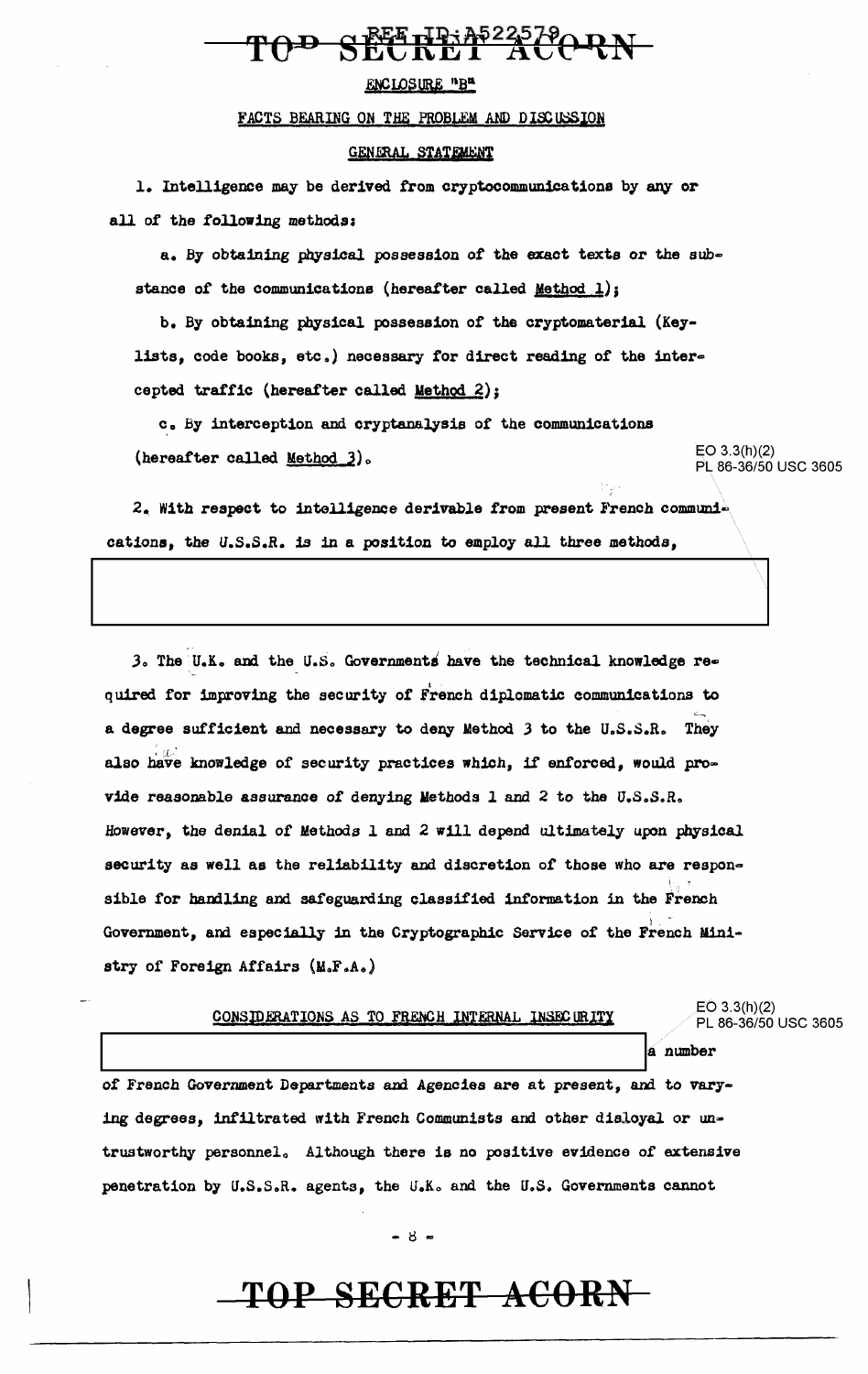#### **FEE HP: AP225790 RN** ዋሉው

#### ENCLOSURE "B"

#### FACTS BEARING ON THE PROBLEM AND DISCUSSION

#### GENERAL STATEMENT

1. Intelligence may be derived from cryptocommunications by any or all of the following methods:

a. By obtaining physical possession of the exact texts or the substance of the communications (hereafter called Method 1);

b. By obtaining physical possession of the cryptomaterial (Keylists, code books, etc.) necessary for direct reading of the intercepted traffic {hereafter called Method 2);

c. By interception and cryptanalysis of the communications (hereafter called <u>Method 3</u>).  $E = 0.3.3(h)(2)$ 

PL 86-36/50 USC 3605

 $2.$  With respect to intelligence derivable from present French communications, the u.s.S.R. is in a position to employ all three methods,

 $3.$  The U.K. and the U.S. Governments have the technical knowledge required for improving the security of French diplomatic communications to a degree sufficient and necessary to deny Method  $3$  to the U.S.S.R. They also have knowledge of security practices which, if enforced, would provide reasonable assurance of denying Methods 1 and 2 to the U.S.S.R. However, the denial of Methods  $l$  and  $2$  will depend ultimately upon physical security as well as the reliability and discretion of those who are respon-I, • sible for handling and safeguarding classified information in the French Government, and especially in the Cryptographic Service of the French Ministry of Foreign Affairs (M.F.A.)

| CONSIDERATIONS AS TO FRENCH INTERNAL INSECURITY                            | $EO$ 3.3(h)(2)<br>PL 86-36/50 USC 3605 |  |
|----------------------------------------------------------------------------|----------------------------------------|--|
|                                                                            | a number                               |  |
| of French Government Departments and Agencies are at present, and to vary- |                                        |  |
| ing degrees, infiltrated with French Communists and other disloyal or un-  |                                        |  |

trustworthy personnel. Although there is no positive evidence of extensive penetration by U.S.S.R. agents, the U.K. and the U.S. Governments cannot

 $-8 -$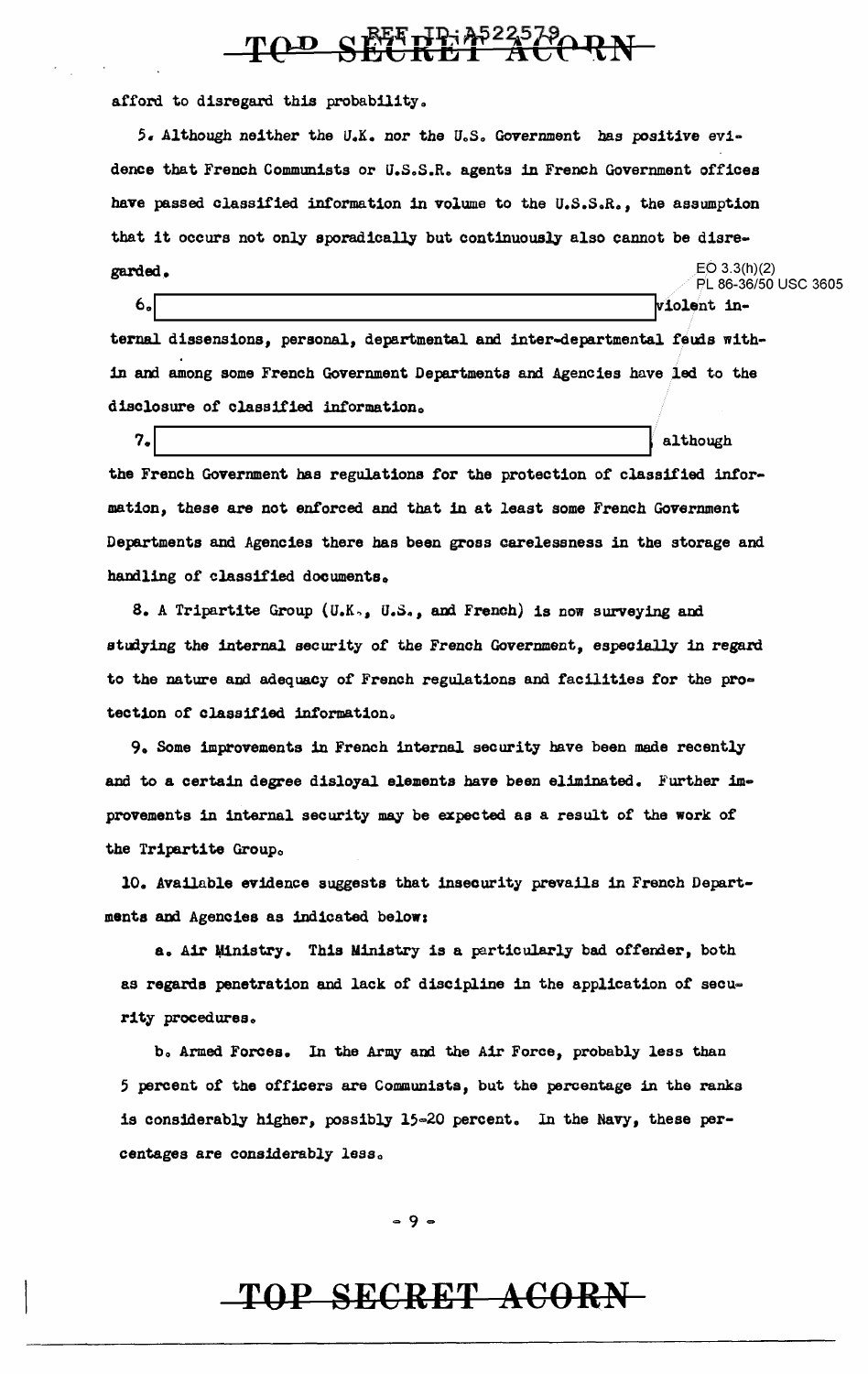# TOD SEETHER 4522579 RN

afford to disregard this probability.

 $5.$  Although neither the U.K. nor the U.S. Government has positive evidence that French Communists or U.S.S.R. agents in French Government offices have passed classified information in volume to the U.S.S.R., the assumption that it occurs not only sporadically but continuously also cannot be disre-EO 3.3(h)(2)  $\begin{array}{cc} \text{grad}_{\bullet} & \multicolumn{3}{c}{} & \multicolumn{3}{c}{} & \multicolumn{3}{c}{} & \multicolumn{3}{c}{} & \multicolumn{3}{c}{} & \multicolumn{3}{c}{} & \multicolumn{3}{c}{} & \multicolumn{3}{c}{} & \multicolumn{3}{c}{} & \multicolumn{3}{c}{} & \multicolumn{3}{c}{} & \multicolumn{3}{c}{} & \multicolumn{3}{c}{} & \multicolumn{3}{c}{} & \multicolumn{3}{c}{} & \multicolumn{3}{c}{} & \multicolumn{3}{c}{} & \multicolumn{3}{c}{} & \multicolumn{3$ 

6. lolent internal dissensions, personal, departmental and inter-departmental feuds within and among some French Government Departments and Agencies have led to the disclosure of classified information.

 $7.$  although  $\sim$ the French Government has regulations for the protection of classified intormation, these are not enforced and that in at least some French Government Departments and Agencies there has been gross carelessness in the storage and handling of classified documents.

8. A Tripartite Group (U.K., U.S., and French) is now surveying and studying the internal security of the French Government, especially in regard to the nature and adequacy of French regulations and facilities for the protection of classified information.

9. Some improvements in French internal security have been made recently and to a certain degree disloyal elements have been eliminated. Further improvements in internal security may be expected as a result of the work of the Tripartite Group.

10. Available evidence suggests that insecurity prevails in French Departmanta and Agencies as indicated belows

a. Air Ministry. This Ministry is a particularly bad offender, both as regards penetration and lack of discipline in the application of security procedures.

b. Armed Forces. In the Army and the Air Force, probably less than 5 percent of the officers are Communists, but the percentage in the ranks is considerably higher, possibly 15=20 percent. ln the Navy, these percentages are considerably less.

 $= 9 -$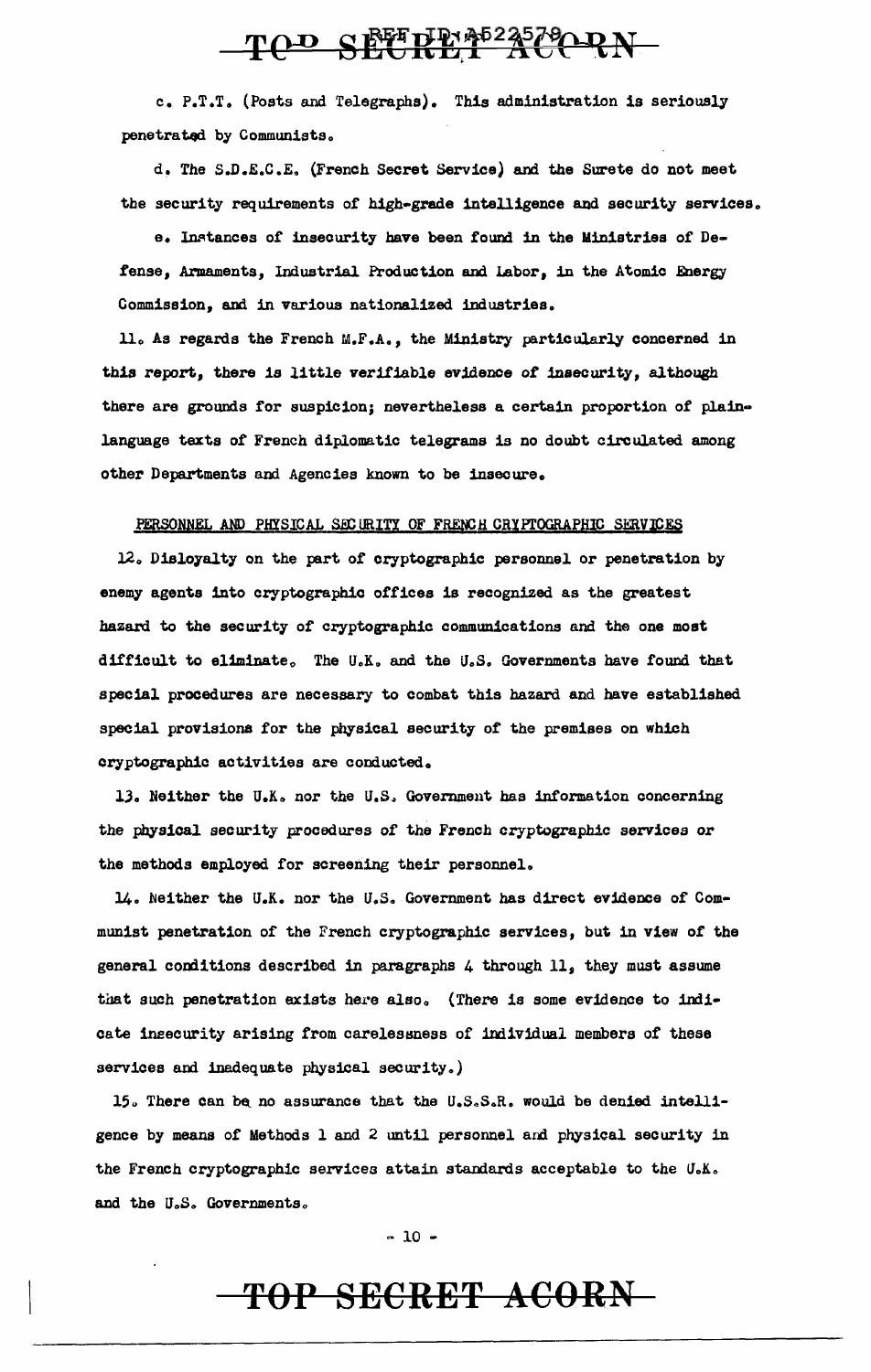# TOD SEETHE ACORN

c. P.T.T. (Posts and Telegraphs). This administration is seriously penetrated by Communists.

d. The S.D.E.C.E. (French Secret Service) and the Surete do not meet the security requirements of high-grade intelligence and security services.

e. Instances of insecurity have been found in the Ministries of Defense, Armaments, Industrial Production and Labor, in the Atomic Energy Commission, and in various nationalized industries.

ll. As regards the French M.F.A., the Ministry particularly concerned in this report, there is little verifiable evidence of insecurity, although there are grounds for suspicion; nevertheless a certain proportion of plainlanguage texts of French diplomatic telegrams is no doubt circulated among other Departments and Agencies known to be insecure.

#### PERSONNEL AND PHYSICAL SECURITY OF FRENCH CRYPTOGRAPHIC SERVICES

12. Disloyalty on the part of cryptographic personnel or penetration by enemy agents into cryptographic offices is recognized as the greatest hazard to the security of cryptographic communications and the one most difficult to eliminate. The U.K. and the U.S. Governments have found that special procedures are necessary to combat this hazard and have established special provisions for the physical security of the premises on which cryptographic activities are conducted.

13. Neither the U.K. nor the U.S. Government has information concerning the physical security procedures of the French cryptographic services or the methods employed for screening their personnel.

14. Neither the U.K. nor the U.S. Government has direct evidence of Communist penetration of the French cryptographic services, but in view of the general conditions described in paragraphs 4 through 11, they must assume that such penetration exists here also. (There is some evidence to indicate insecurity arising from carelessness of individual members of these services and inadequate physical security.)

15. There can be no assurance that the U.S.S.R. would be denied intelligence by means of Methods 1 and 2 until personnel and physical security in the French cryptographic services attain standards acceptable to the U.K. and the U.S. Governments.

 $-10 -$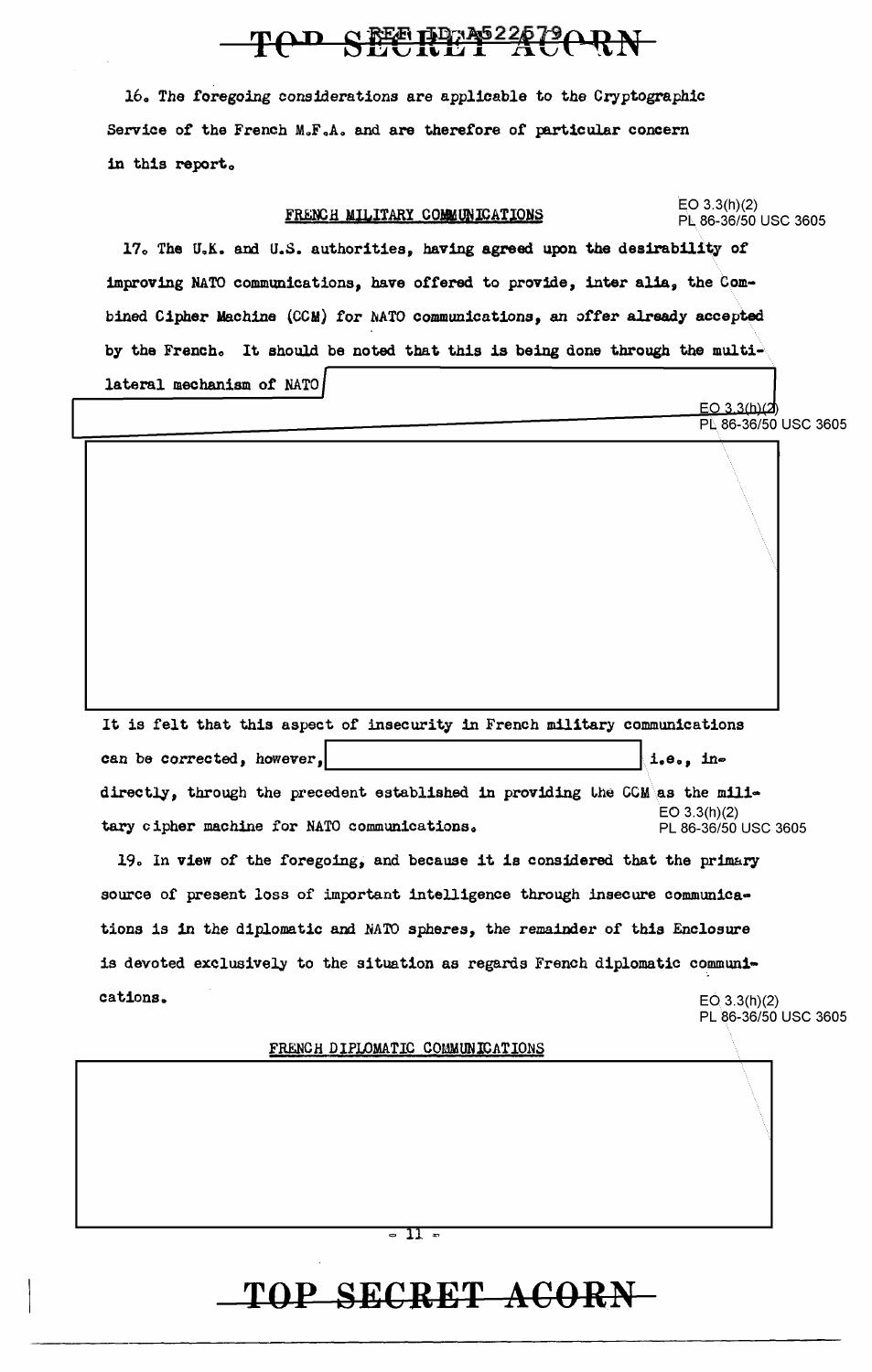# TOD SECRET ACORN

16. The foregoing considerations are applicable to the Cryptographic Service of the French  $M_sF_sA_s$  and are therefore of particular concern in this report.

| FRENCH MILITARY COMMUNICATIONS                                                | EO $3.3(h)(2)$<br>PL 86-36/50 USC 3605       |  |  |
|-------------------------------------------------------------------------------|----------------------------------------------|--|--|
| 17. The U.K. and U.S. authorities, having agreed upon the desirability of     |                                              |  |  |
| improving NATO communications, have offered to provide, inter alia, the Com-  |                                              |  |  |
| bined Cipher Machine (CCM) for NATO communications, an offer already accepted |                                              |  |  |
| by the French. It should be noted that this is being done through the multi-  |                                              |  |  |
| lateral mechanism of NATO                                                     |                                              |  |  |
|                                                                               | $EO$ 3.3 $(h)$ $(2)$<br>PL 86-36/50 USC 3605 |  |  |
|                                                                               |                                              |  |  |
| It is felt that this aspect of insecurity in French military communications   |                                              |  |  |
| can be corrected, however,                                                    | i.e., in                                     |  |  |
| directly, through the precedent established in providing the CCM as the mili- |                                              |  |  |
| tary cipher machine for NATO communications.                                  | EO 3.3(h)(2)<br>PL 86-36/50 USC 3605         |  |  |
| 19. In view of the foregoing, and because it is considered that the primary   |                                              |  |  |
| source of present loss of important intelligence through insecure communica-  |                                              |  |  |
| tions is in the diplomatic and NATO spheres, the remainder of this Enclosure  |                                              |  |  |
| is devoted exclusively to the situation as regards French diplomatic communi- |                                              |  |  |
| cations.                                                                      | EO(3.3(h)(2)<br>PL 86-36/50 USC 3605         |  |  |
| FRENCH DIPLOMATIC COMMUNICATIONS                                              |                                              |  |  |
|                                                                               |                                              |  |  |

 $=$  11  $=$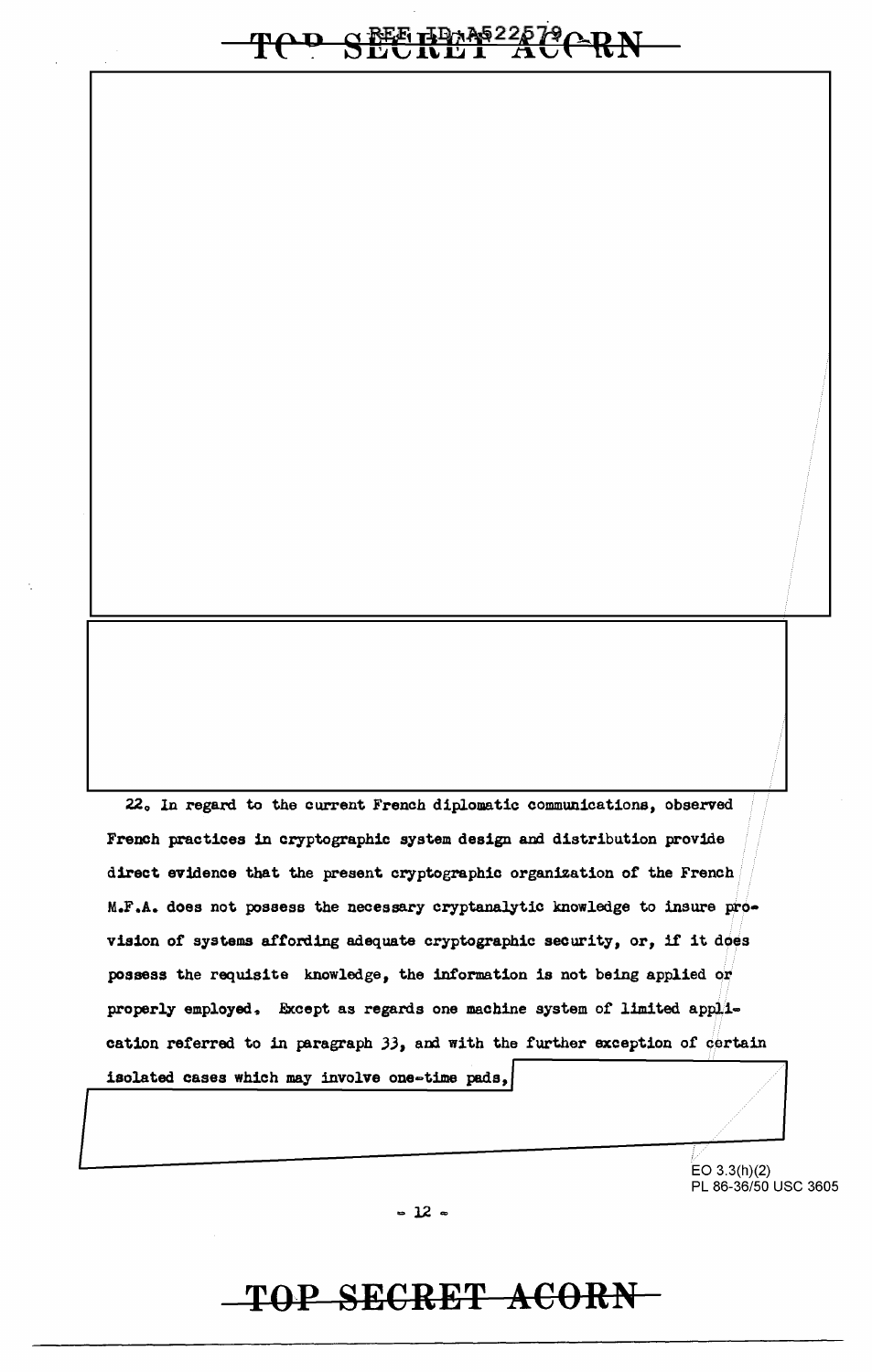# TOD SESEMBRE22579CRN

22. In regard to the current French diplomatic communications, observed French practices in cryptographic system design and distribution provide direct evidence that the present cryptographic organization of the French M.F.A. does not possess the necessary cryptanalytic knowledge to insure provision of systems affording adequate cryptographic security, or, if it does possess the requisite knowledge, the information is not being applied or properly employed. Except as regards one machine system of limited application referred to in paragraph 33, and with the further exception of certain isolated cases which may involve one-time pads,

> EO  $3.3(h)(2)$ PL 86-36/50 USC 3605

 $-12$   $-$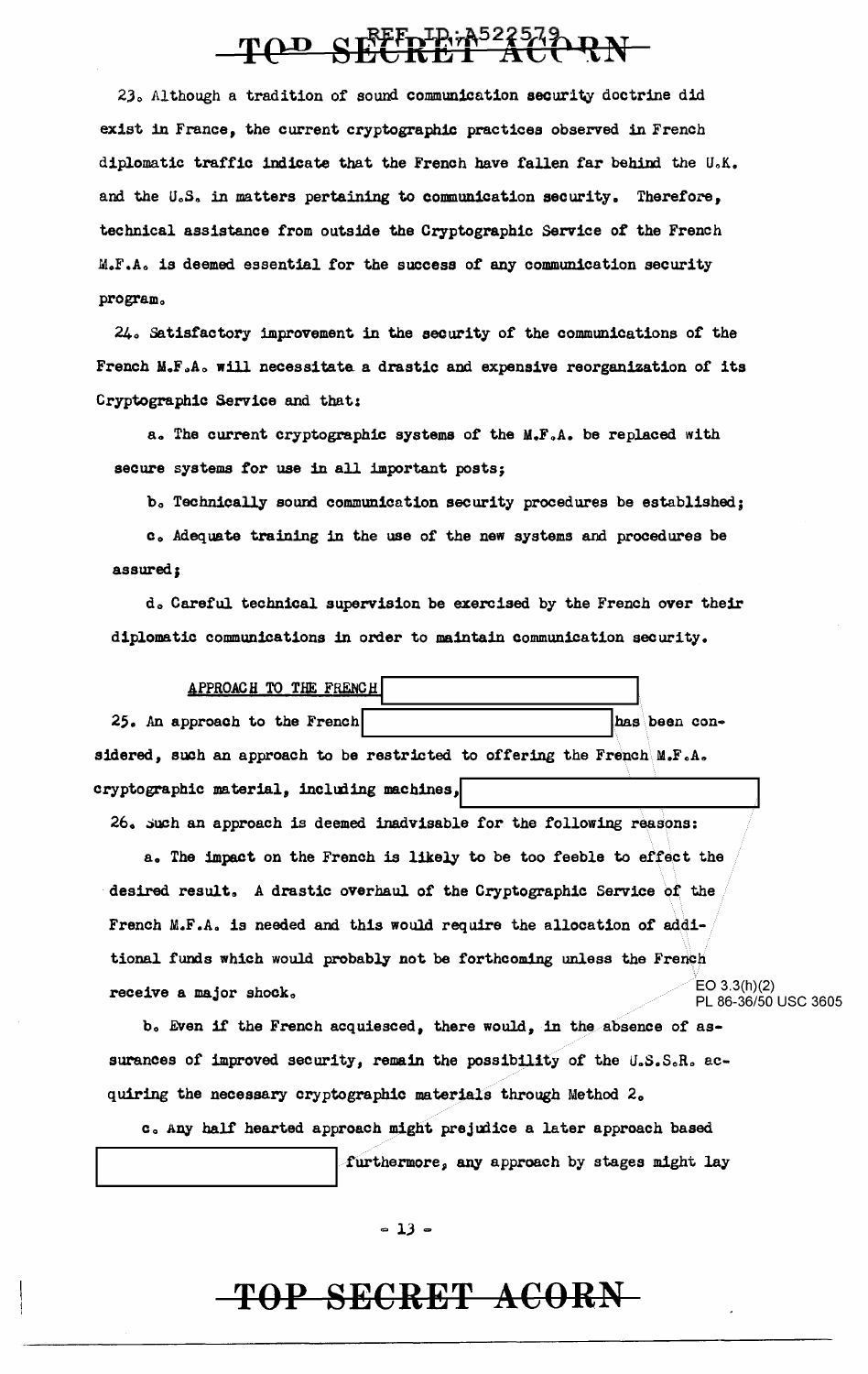# TOD SEEDINAS22579 RN

23. Although a tradition of sound communication security doctrine did exist in France, the current cryptographic practices observed in French diplomatic traffic indicate that the French have fallen far behind the U.K. and the U.S. in matters pertaining to communication security. Therefore, technical assistance from outside the Cryptographic Service of the French M.F.Ao is deemed essential for the success of any communication security program.

240 Satisfactory improvement in the security of the communications of the French M.F.A. will necessitate a drastic and expensive reorganization of its Cryptographic Service and that:

a. The current cryptographic systems of the M.F.A. be replaced with secure systems for use in all important posts;

b. Technically sound communication security procedures be established;

c. Adequate training in the use of the new systems and procedures be assured;

do Careful technical supervision be exercised by the French over their diplomatic communications in order to maintain communication security.

| APPROACH TO THE FRENCH                                                    |
|---------------------------------------------------------------------------|
| 25. An approach to the French<br>has been con-                            |
| sidered, such an approach to be restricted to offering the French M.F.A.  |
| cryptographic material, including machines,                               |
| 26. Such an approach is deemed inadvisable for the following reasons:     |
| a. The impact on the French is likely to be too feeble to effect the      |
| desired result. A drastic overhaul of the Cryptographic Service of the    |
| French M.F.A. is needed and this would require the allocation of addi-    |
| tional funds which would probably not be forthcoming unless the French    |
| EO 3.3(h)(2)<br>receive a major shock.<br>PL 86-36/50 USC 3605            |
| b. Even if the French acquiesced, there would, in the absence of as-      |
| surances of improved security, remain the possibility of the U.S.S.R. ac- |

quiring the necessary cryptographic materials through Method 2.

c. Any half hearted approach might prejudice a later approach based furthermore, any approach by stages might lay

 $-13 -$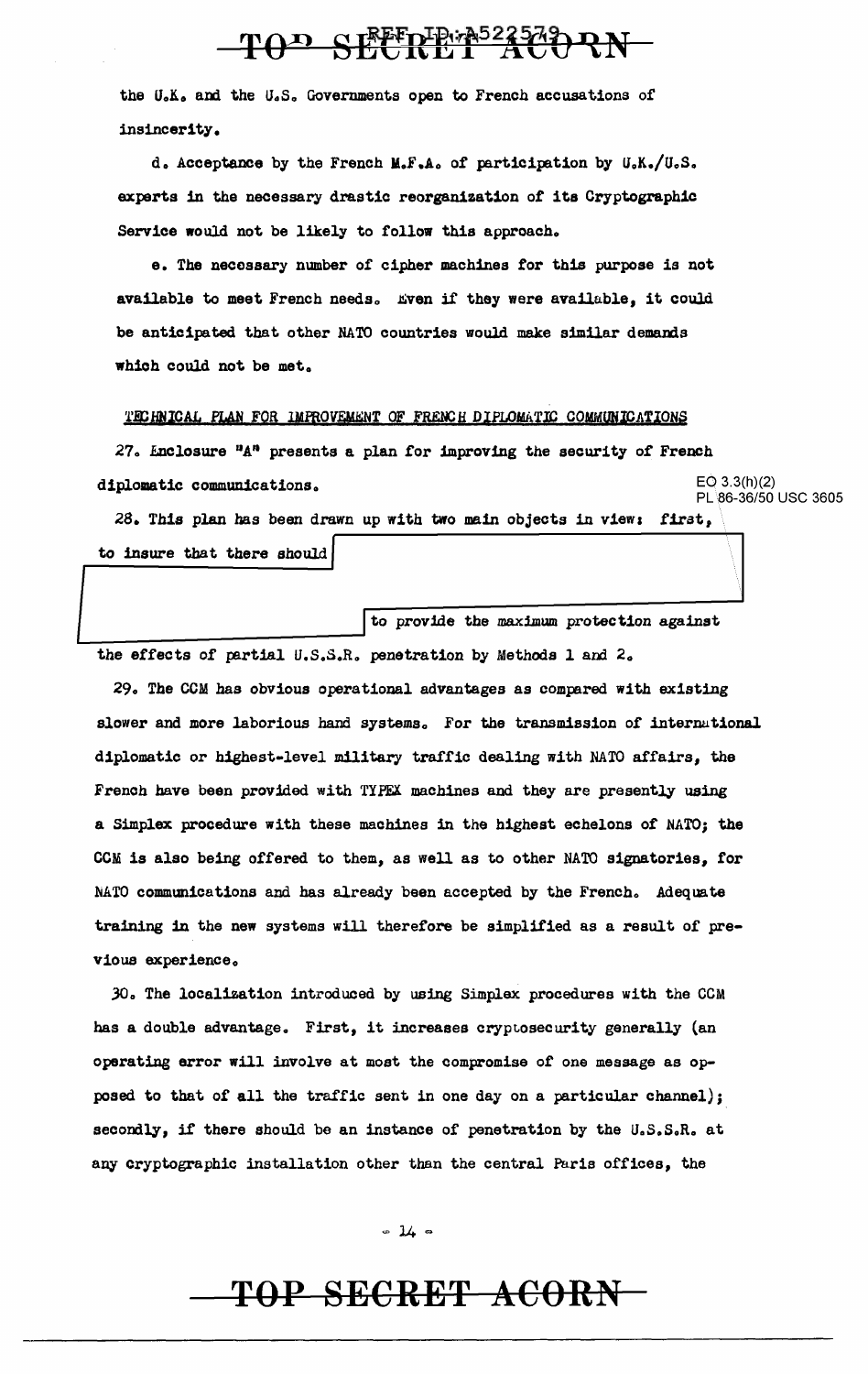# TOD SEEPER523523 RN

the U.K. and the U.S. Governments open to French accusations of insincerity.

d. Acceptance by the French M.F.A. of participation by U.K./U.S. experts in the necessary drastic reorganization of its Cryptographic Service would not be likely to follow this approach.

e. The necessary number of cipher machines for this purpose is not available to meet French needs. Even if they were available, it could be anticipated that other NATO countries would make similar demands which could not be met.

#### TECHNICAL PLAN FOR IMPROVEMENT OF FRENCH DIPLOMATIC COMMUNICATIONS

27. Enclosure "A" presents a plan for improving the security of French  $EO 3.3(h)(2)$ diplomatic communications. PL 86-36/50 USC 3605

28. This plan has been drawn up with two main objects in view: first, to insure that there should

to provide the maximum protection against the effects of partial U.S.S.R. penetration by Methods 1 and 2.

29. The CCM has obvious operational advantages as compared with existing slower and more laborious hand systems. For the transmission of international diplomatic or highest-level military traffic dealing with NATO affairs, the French have been provided with TYPEX machines and they are presently using a Simplex procedure with these machines in the highest echelons of NATO; the CCM is also being offered to them, as well as to other NATO signatories, for NATO communications and has already been accepted by the French. Adequate training in the new systems will therefore be simplified as a result of previous experience.

30. The localization introduced by using Simplex procedures with the CCM has a double advantage. First, it increases cryptosecurity generally (an operating error will involve at most the compromise of one message as opposed to that of all the traffic sent in one day on a particular channel); secondly, if there should be an instance of penetration by the U.S.S.R. at any cryptographic installation other than the central Paris offices, the

 $-14-$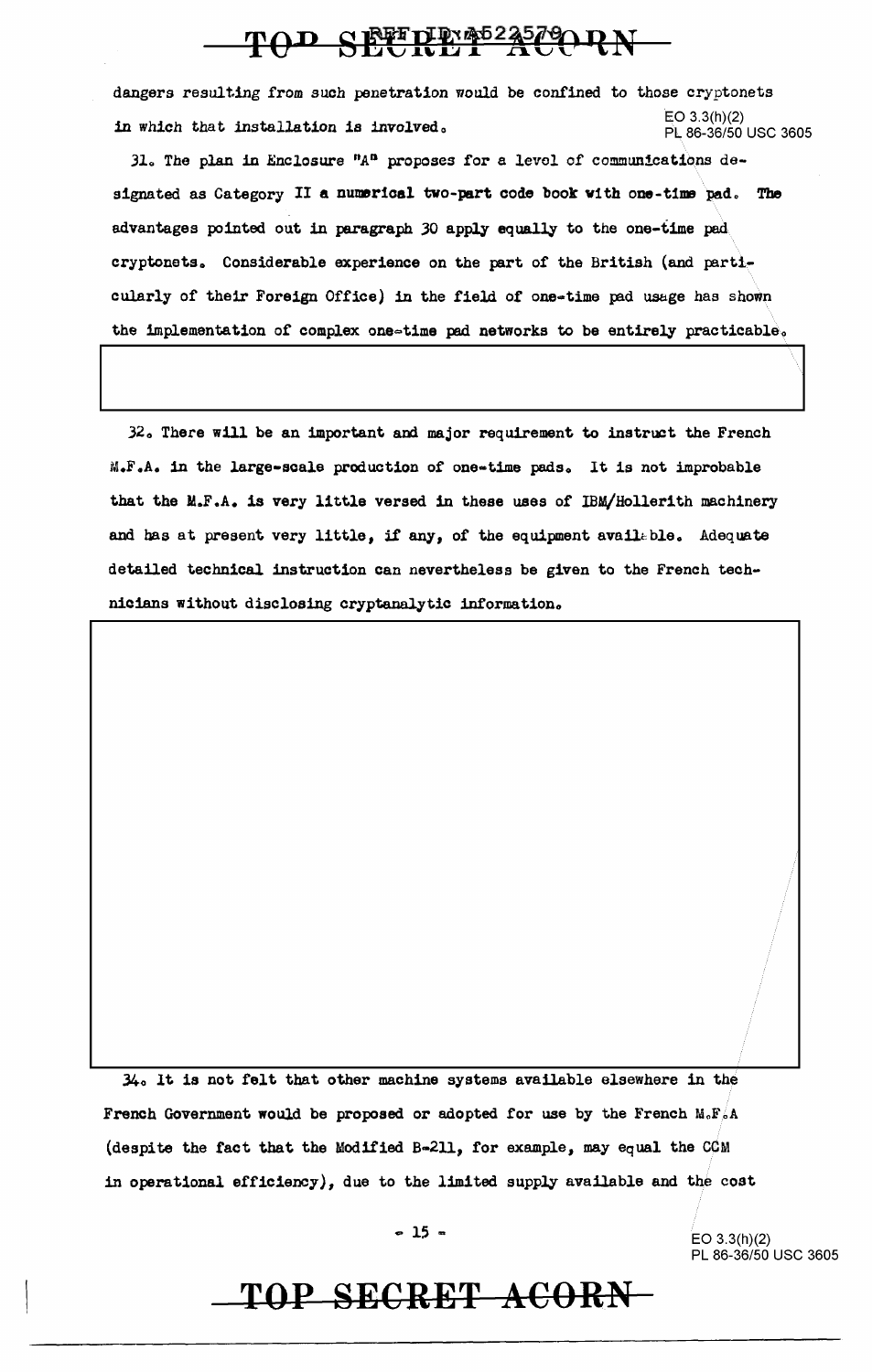### TOD SETTEMBERGORN

dangers resulting from such penetration would be confined to those cryptonets in which that installation is involved.<br>  $\frac{1}{2}$  EO 3.3(h)(2) EO 3.3(h)(2) PL 86-36/50 USC 3605

31. The plan in Enclosure " $A<sup>n</sup>$  proposes for a level of communications designated as Category II a numerical two-part code book with one-time pad. The advantages pointed out in paragraph JO apply equally to the one-time pad cryptonets. Considerable experience on the part of the British (and particularly of their Foreign Office) in the field of one-time pad usage has shown the implementation of complex one-time pad networks to be entirely practicable.

32. There will be an important and major requirement to instruct the French M.F.A. in the large-scale production of one-time pads. It is not improbable that the M.F.A. is very little versed in these uses of IBM/Hollerith machinery and has at present very little, if any, of the equipment available. Adequate detailed technical instruction can nevertheless be given to the French technicians without disclosing cryptanalytic information.

 $34<sub>o</sub>$  It is not felt that other machine systems available elsewhere in the French Government would be proposed or adopted for use by the French  $M_oF_oA$ (despite the fact that the Modified B-211, for example, may equal the CCM in operational efficiency), due to the limited supply available and the cost

 $\bullet$  15  $\bullet$  EO 3.3(h)(2) PL 86-36/50 USC 3605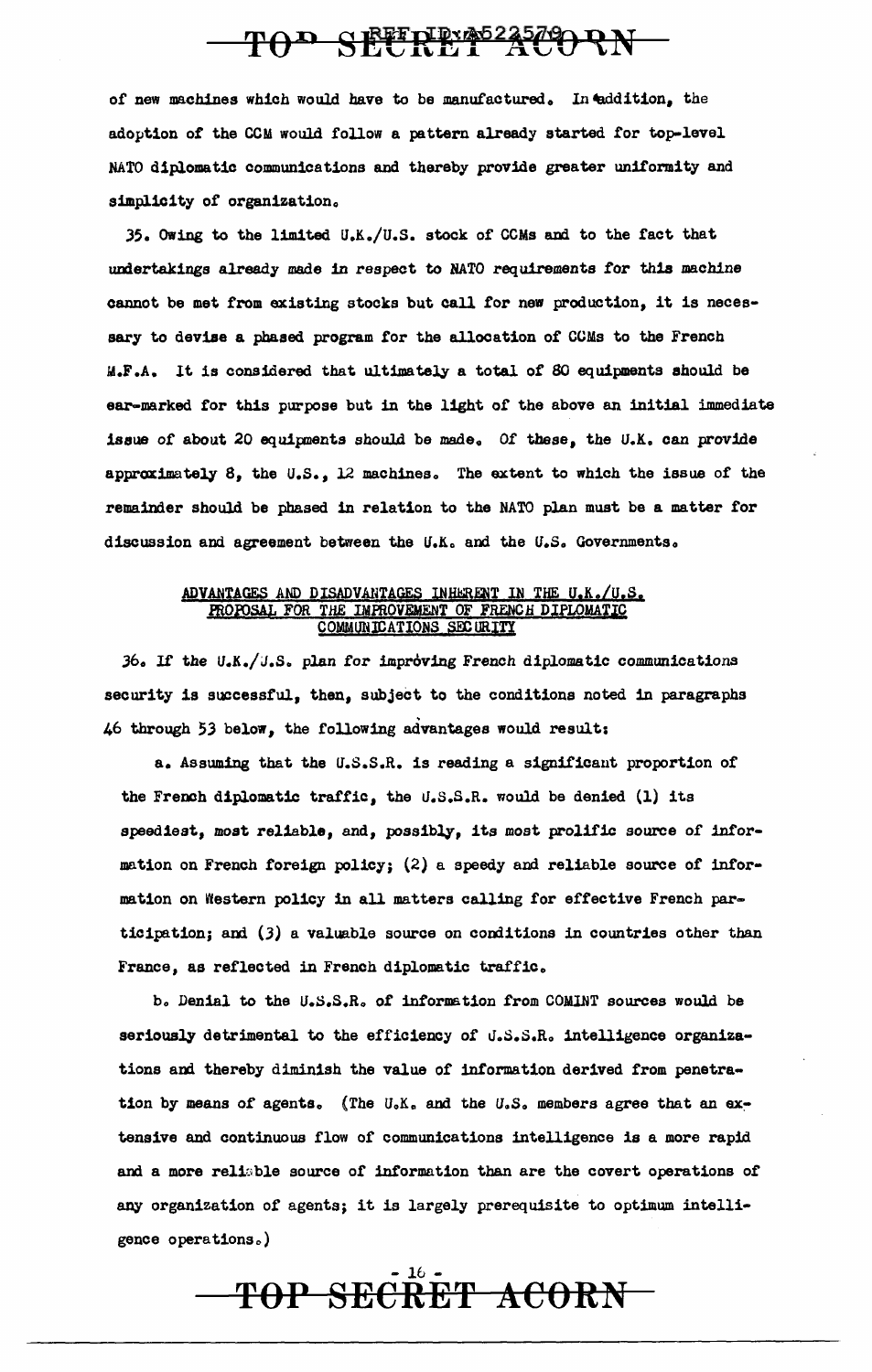## TOP SECRET ACORN

of new machines which would have to be manufactured. In eddition, the adoption of the CCM would follow a pattern already started for top-level NATO diplomatic communications and thereby provide greater unifomity and simplicity of organization.

35. Owing to the limited U.K./U.S. stock of CCMs and to the fact that undertakings already made in respect to NATO requirements *tor* thia machine cannot be met from existing stocks but call for new production, it is necessary to devise a phased program for the allocation of CCMs to the French M.F.A. lt is considered that ultimately a total of 80 equipments should be ear-marked for this purpose but in the light of the above an initial immediate issue of about 20 equipments should be made. Of these, the U.K. can provide approximately  $8$ , the U.S., 12 machines. The extent to which the issue of the remainder should be phased in relation to the NATO plan must be a matter for discussion and agreement between the U.K. and the U.S. Governments.

#### ADVANTAGES AND DISADVANTAGES INHERENT IN THE U.K./U.S. FROFOSAL FOR THE IMFROVEMENT OF FRENCH DIPLOMATIC COMMUNICATIONS SECURITY

 $36.$  If the U.K./U.S. plan for improving French diplomatic communications security is successful, then, subject to the conditions noted in paragraphs 46 through 53 below, the following advantages would result:

a. Assuming that the u.s.s.R, is reading a significant proportion of the French diplomatic traffic, the U.S.S.R. would be denied (1) its speediest, most reliable, and, possibly, its most prolific source of information on French foreign policy; (2) a speedy and reliable source of information on Western policy in all matters calling for effective French participation; and  $(3)$  a valuable source on conditions in countries other than France, as reflected in French diplomatic traffic.

b. Denial to the U.S.S.R. of information from COMINT sources would be seriously detrimental to the efficiency of U.S.S.R. intelligence organizations and thereby diminish the value of information derived from penetration by means of agents. (The U.K. and the U.S. members agree that an extensive and continuous flow of communications intelligence is a more rapid and a more reliable source of information than are the covert operations of any organization of agents; it is largely prerequisite to optimum intelligence operations.)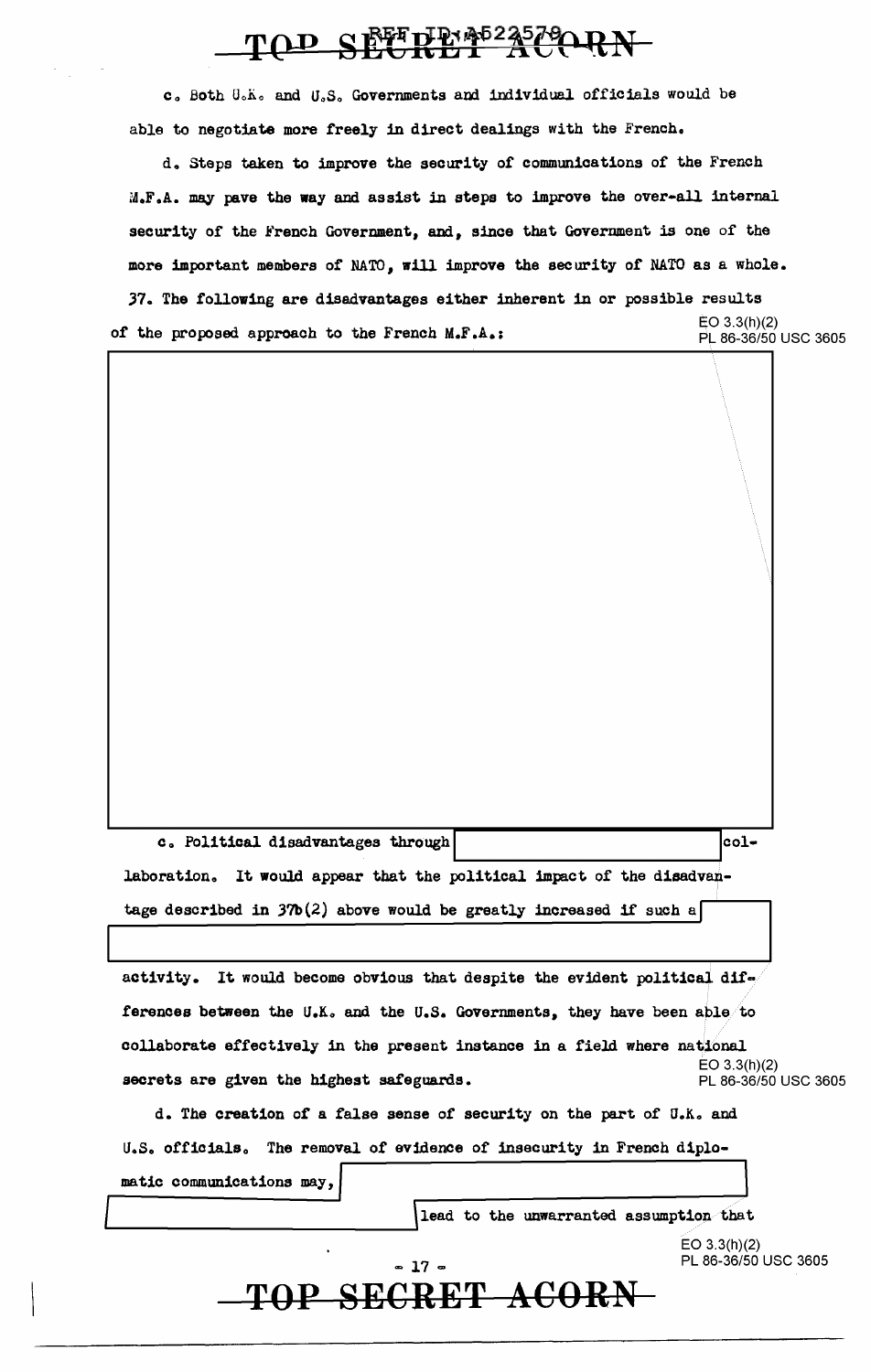## TOD SECRET ATARN

c. Both U.K. and U.S. Governments and individual officials would be able to negotiate more freely in direct dealings with the French.

d. Steps taken to improve the security of communications of the French M.F.A. may pave the way and assist in steps to improve the over-all internal security of the French Government, and, since that Government is one of the more important members of NATO, will improve the security of NATO as a whole.

37. The following are disadvantages either inherent in or possible results  $EO$  3.3(h)(2) of the proposed approach to the French M.F.A.: PL 86-36/50 USC 3605

c. Political disadvantages through collaboration. It would appear that the political impact of the disadvantage described in  $37b(2)$  above would be greatly increased if such a

activity. It would become obvious that despite the evident political differences between the U.K. and the U.S. Governments, they have been able to collaborate effectively in the present instance in a field where national  $EO 3.3(h)(2)$ secrets are given the highest safeguards. PL 86-36/50 USC 3605

d. The creation of a false sense of security on the part of U.K. and U.S. officials. The removal of evidence of insecurity in French diplomatic communications may,

lead to the unwarranted assumption that

 $EO 3.3(h)(2)$ PL 86-36/50 USC 3605

#### $-17 -$ TOP SECRET ACORN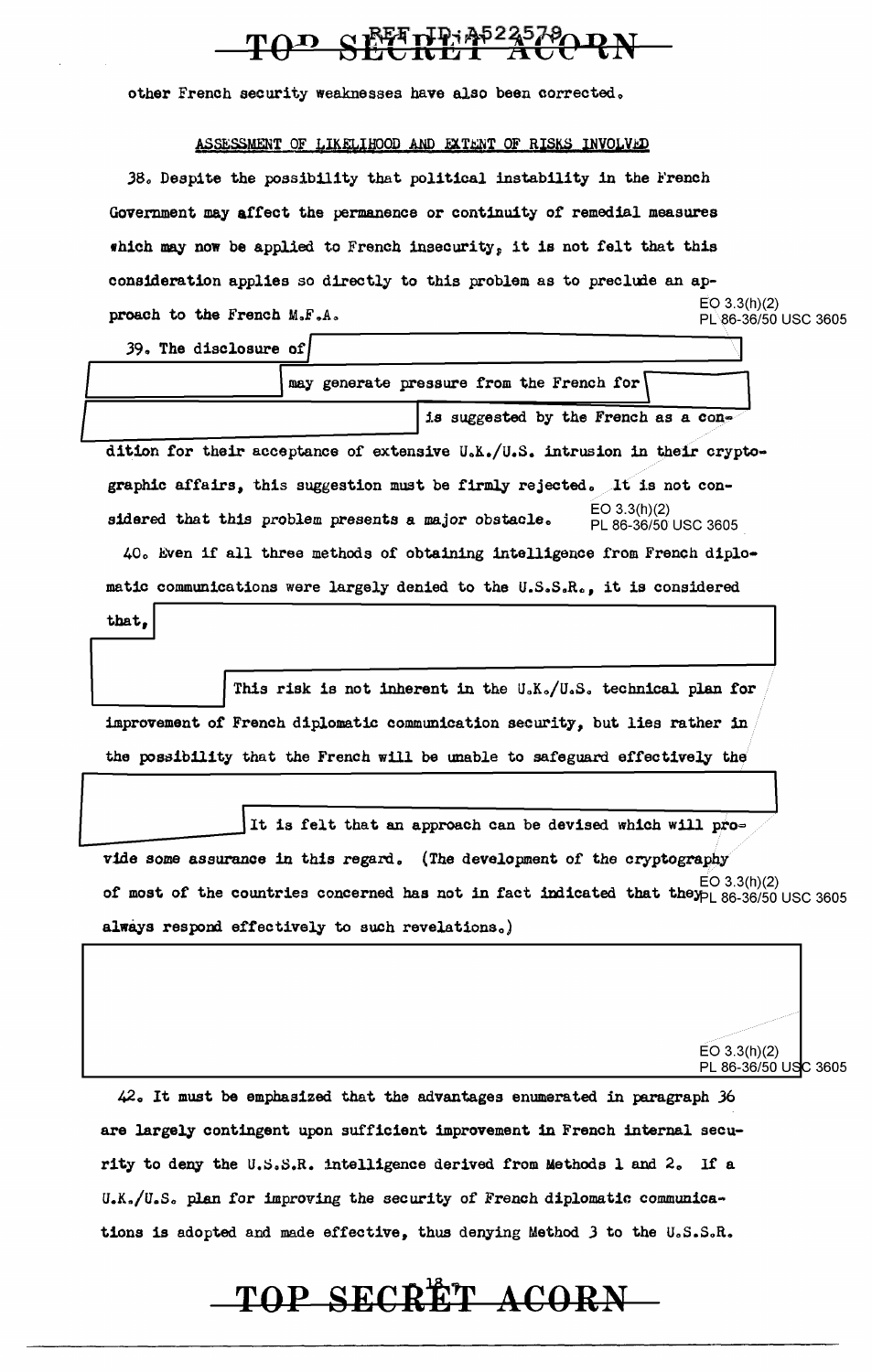# TOD SEETHE A-235790 RN

other French security weaknesses have also been corrected.

#### ASSESSMENT OF LIKELIHOOD AND EXTENT OF RISKS INVOLVED

38. Despite the possibility that political instability in the French Government may affect the permanence or continuity of remedial measures which may now be applied to French insecurity, it is not felt that this consideration applies so directly to this problem as to preclude an ap**proach to the French M.F.A.**  $\qquad \qquad$  EO 3.3(h)(2)  $\qquad \qquad$  PL86-36/50 USC 3605

EO 3.3(h)(2)

PL 86-36/50 USC 3605

39. The disclosure of

|                                                      | is suggested by the French as a con-                                          |
|------------------------------------------------------|-------------------------------------------------------------------------------|
|                                                      | dition for their acceptance of extensive U.K./U.S. intrusion in their crypto- |
|                                                      | graphic affairs, this suggestion must be firmly rejected. It is not con-      |
| sidered that this problem presents a major obstacle. | EO 3.3(h)(2)<br>PL 86-36/50 USC 3605                                          |
|                                                      | 40. Even if all three methods of obtaining intelligence from French diplo-    |
|                                                      | matic communications were largely denied to the U.S.S.R., it is considered    |

This risk is not inherent in the U.K./U.S. technical plan for improvement of French diplomatic communication security, but lies rather in the possibility that the French will be unable to safeguard effectively the

It is felt that an approach can be devised which will pro= vide some assurance in this regard. (The development of the cryptography of most of the countries concerned has not in fact indicated that the  $\frac{E}{D}$  86.36/50 USC 3605 always respond effectively to such revelations.)

42. It must be emphasized that the advantages enumerated in paragraph 36 are largely contingent upon sufficient improvement in French internal security to deny the U.S.S.R. intelligence derived from Methods 1 and 2. If a U.K./U.S. plan for improving the security of French diplomatic communications is adopted and made effective, thus denying Method  $3$  to the U.S.S.R.

# $\textbf{TOP}$  **SECRET ACORN**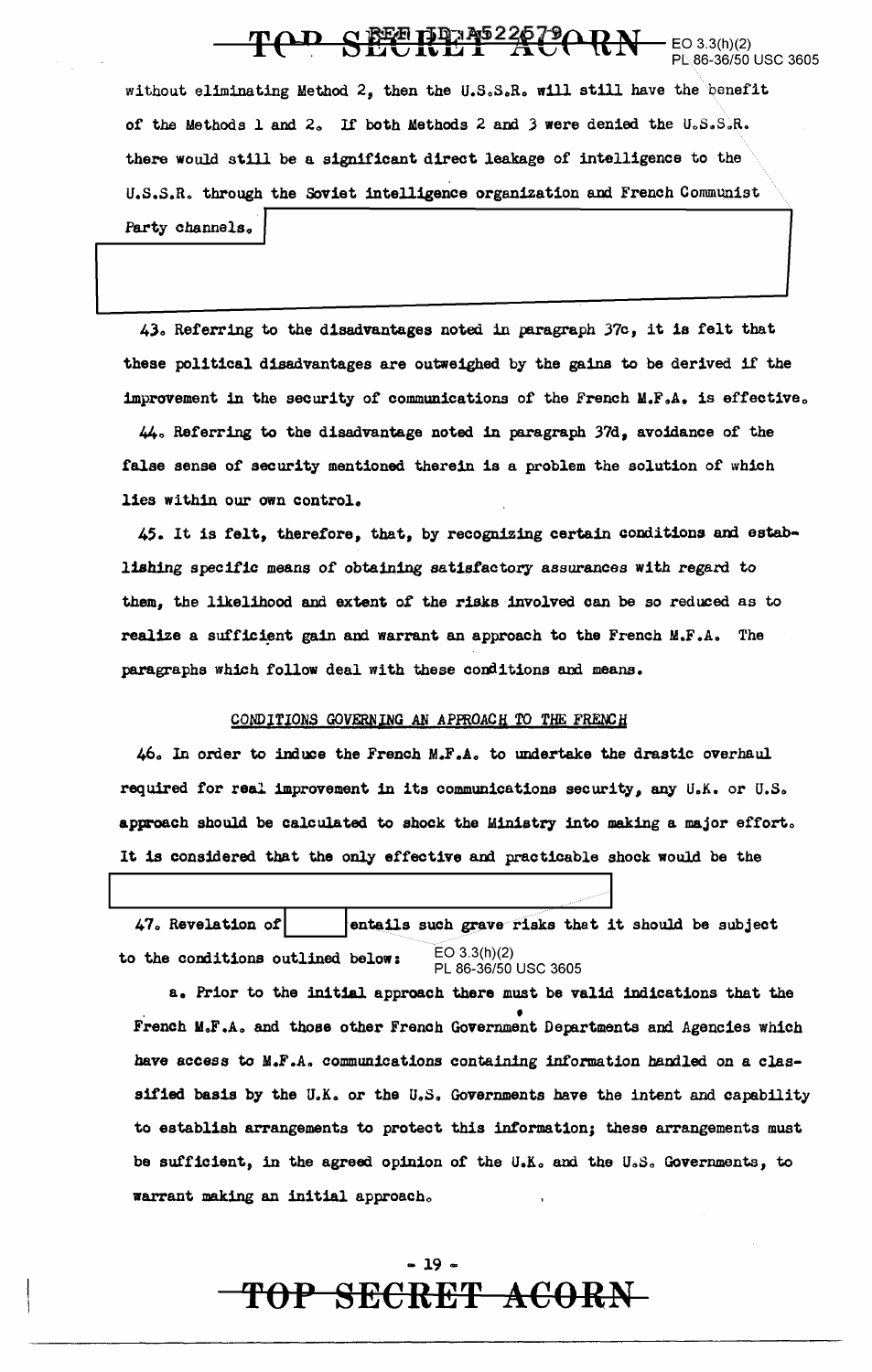#### TOP SECRET ACORN  $-$  EO 3.3(h)(2) 86-36/50 USC 3605

without eliminating Method 2. then the U.S.S.R. will still have the benefit of the Methods 1 and 2. If both Methods 2 and 3 were denied the U.S.S.R. there would still be a significant direct leakage of intelligence to the U.S.S.R. through the Soviet intelligence organization and French Communist Party channels.

43. Referring to the disadvantages noted in paragraph 37c, it is felt that these political disadvantages are outweighed by the gains to be derived if the improvement in the security of communications of the French M.F.A. is effective.

44. Referring to the disadvantage noted in paragraph 37d, avoidance of the false sense of security mentioned therein is a problem the solution of which lies within our own control.

45. It is felt, therefore, that, by recognizing certain conditions and establishing specific means of obtaining satisfactory assurances with regard to them, the likelihood and extent of the risks involved can be so reduced as to realize a sufficient gain and warrant an approach to the French M.F.A. The paragraphs which follow deal with these conditions and means.

#### CONDITIONS GOVERNING AN APPROACH TO THE FRENCH

46. In order to induce the French M.F.A. to undertake the drastic overhaul required for real improvement in its communications security, any U.K. or U.S. approach should be calculated to shock the Ministry into making a major effort. It is considered that the only effective and practicable shock would be the

47. Revelation of entails such grave risks that it should be subject  $EO 3.3(h)(2)$ to the conditions outlined below: PL 86-36/50 USC 3605

a. Prior to the initial approach there must be valid indications that the French M.F.A. and those other French Government Departments and Agencies which have access to M.F.A. communications containing information handled on a classified basis by the U.K. or the U.S. Governments have the intent and capability to establish arrangements to protect this information; these arrangements must be sufficient, in the agreed opinion of the U.K. and the U.S. Governments, to warrant making an initial approach.

### $-19-$ TOP SECRET ACORN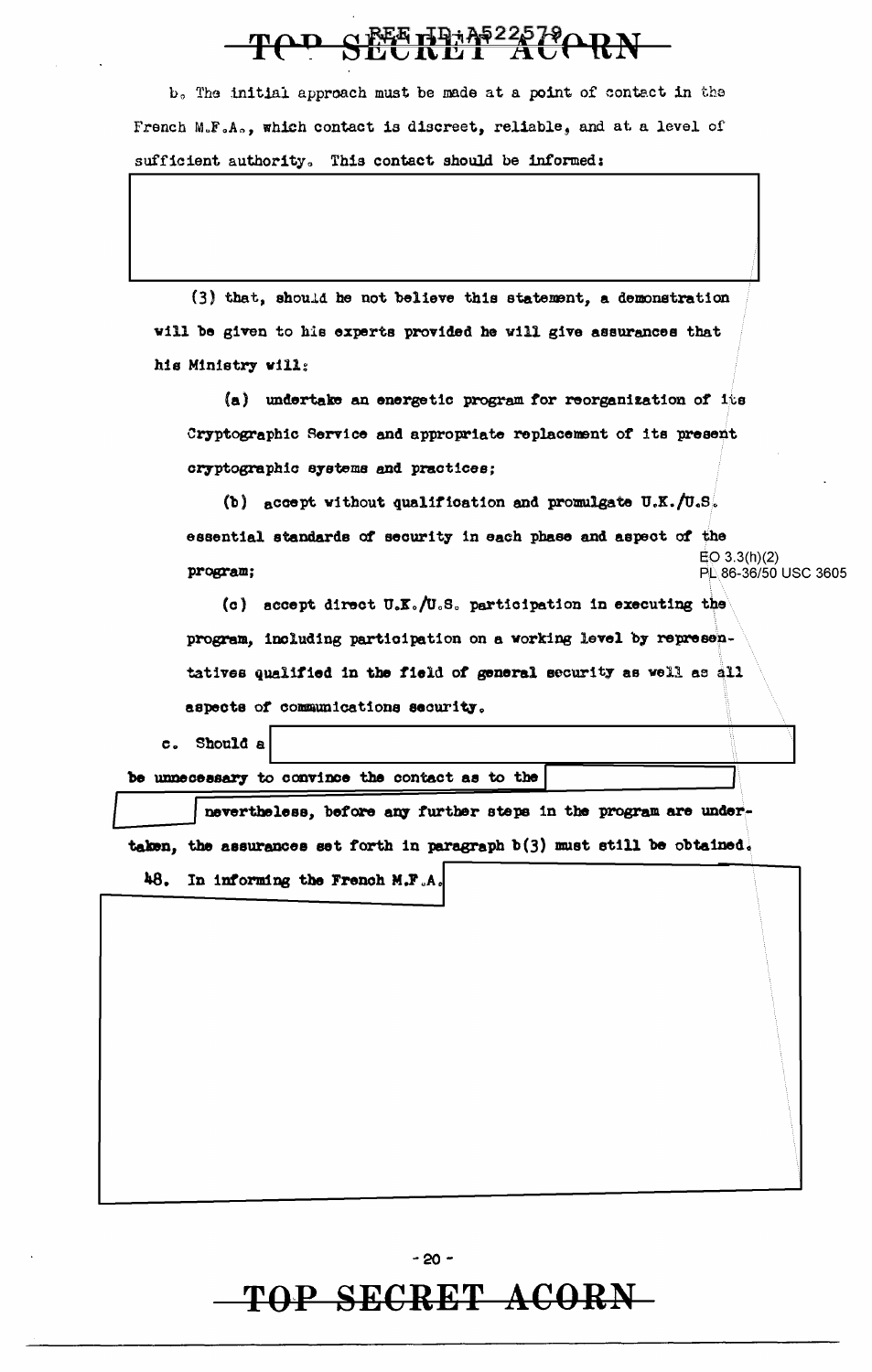# TOD SEETEMP225790RN

b. The initial approach must be made at a point of contact in the French M.F.A., which contact is discreet, reliable, and at a level of sufficient authority. This contact should be informed:

(3) that, should he not believe this statement, a demonstration will be given to his experts provided he will give assurances that his Ministry will:

(a) undertake an energetic program for reorganization of its Cryptographic Service and appropriate replacement of its present cryptographic systems and practices:

(b) accept without qualification and promulgate  $U.K. /U.S.$ essential standards of security in each phase and aspect of the  $EO(3.3(h)(2)$ program; PL 86-36/50 USC 3605

(c) accept direct U.K./U.S. participation in executing the program, including participation on a working level by representatives qualified in the field of general security as well as all aspects of communications security.

c. Should a

be unnecessary to convince the contact as to the

nevertheless, before any further steps in the program are undertaken, the assurances set forth in paragraph b(3) must still be obtained.

48. In informing the French M.F.A.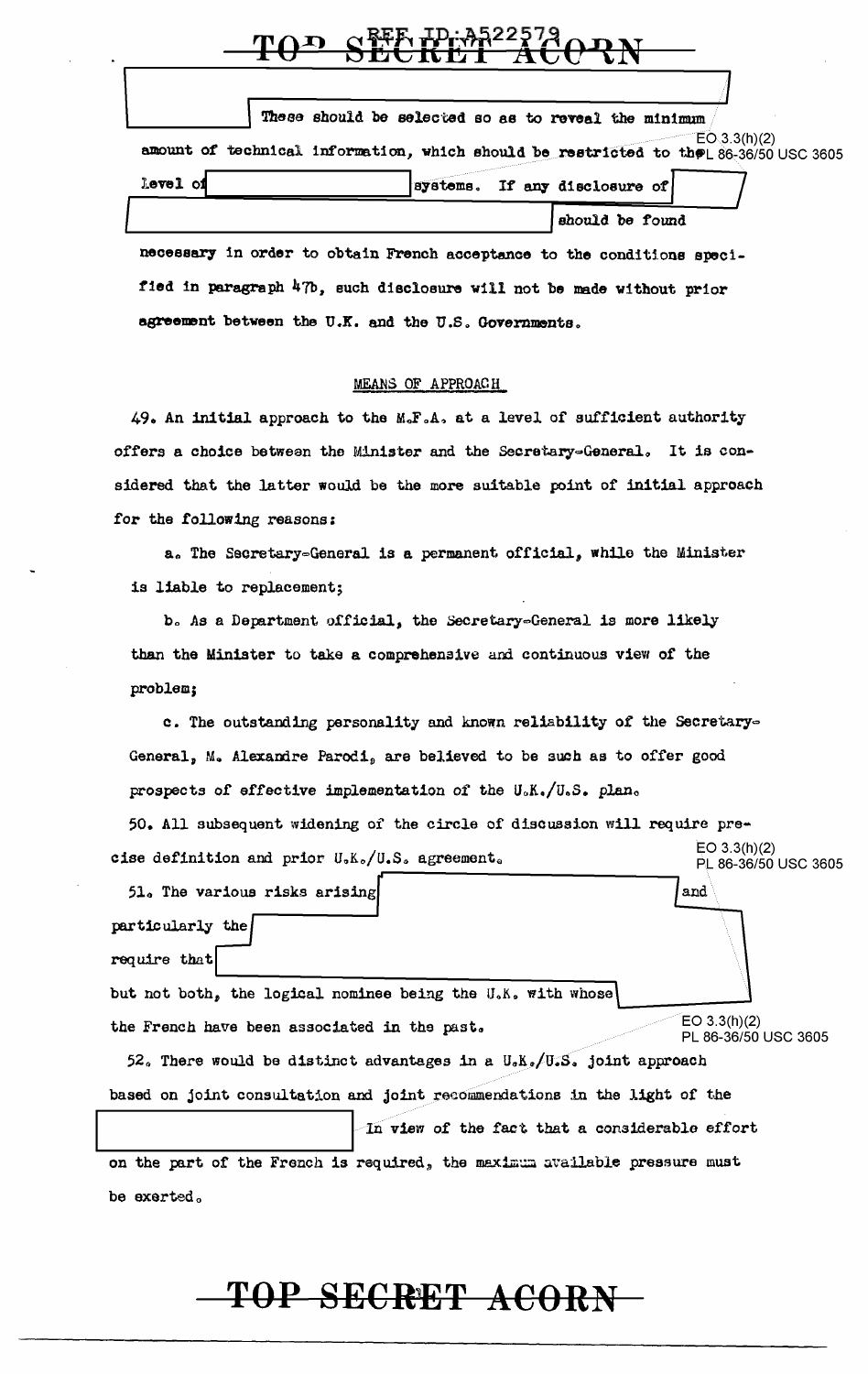|          | These should be selected so as to reveal the minimum |                                                                                                      |
|----------|------------------------------------------------------|------------------------------------------------------------------------------------------------------|
|          |                                                      | EO(3.3(h)(2)<br>amount of technical information, which should be restricted to the 86-36/50 USC 3605 |
| level of | systems. If any disclosure of                        |                                                                                                      |
|          |                                                      | should be found                                                                                      |

necessary in order to obtain French acceptance to the conditions specified in paragraph 47b, such disclosure will not be made without prior agreement between the U.K. and the U.S. Governments.

#### MEANS OF APPROACH

49. An initial approach to the M.F.A. at a level of sufficient authority offers a choice between the Minister and the Secretary=General. It is considered that the latter would be the more suitable point of initial approach for the following reasons:

a. The Secretary=General is a permanent official, while the Minister is liable to replacement;

b. As a Department official, the Secretary-General is more likely than the Minister to take a comprehensive and continuous view of the problem;

c. The outstanding personality and known reliability of the Secretary-General, M. Alexandre Parodi, are believed to be such as to offer good prospects of effective implementation of the U.K./U.S. plan.

50. All subsequent widening of the circle of discussion will require pre- $EO 3.3(h)(2)$ cise definition and prior U.K./U.S. agreement. PL 86-36/50 USC 3605

51. The various risks arising and particularly the require that but not both, the logical nominee being the U.K. with whose  $EO 3.3(h)(2)$ the French have been associated in the past. PL 86-36/50 USC 3605 52. There would be distinct advantages in a  $U_{\alpha}K_{\alpha}/U_{\alpha}S_{\alpha}$  joint approach based on joint consultation and joint recommendations in the light of the

In view of the fact that a considerable effort

on the part of the French is required, the maximum available pressure must be exerted.